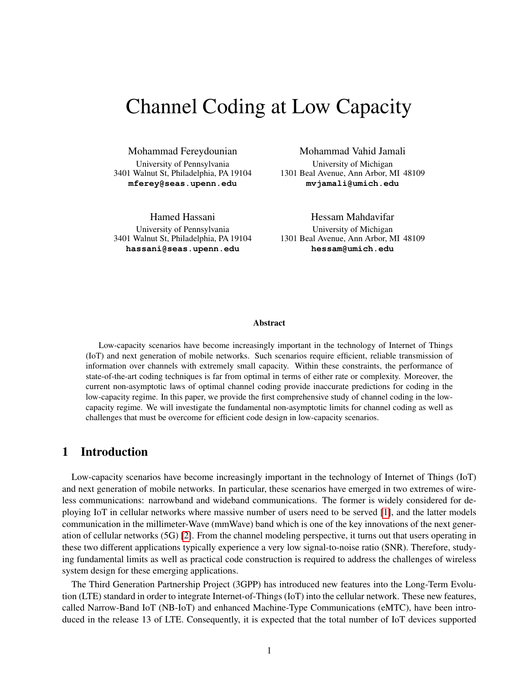# Channel Coding at Low Capacity

Mohammad Fereydounian University of Pennsylvania 3401 Walnut St, Philadelphia, PA 19104 **mferey@seas.upenn.edu**

Hamed Hassani University of Pennsylvania 3401 Walnut St, Philadelphia, PA 19104 **hassani@seas.upenn.edu**

Mohammad Vahid Jamali University of Michigan 1301 Beal Avenue, Ann Arbor, MI 48109 **mvjamali@umich.edu**

Hessam Mahdavifar University of Michigan 1301 Beal Avenue, Ann Arbor, MI 48109 **hessam@umich.edu**

#### Abstract

Low-capacity scenarios have become increasingly important in the technology of Internet of Things (IoT) and next generation of mobile networks. Such scenarios require efficient, reliable transmission of information over channels with extremely small capacity. Within these constraints, the performance of state-of-the-art coding techniques is far from optimal in terms of either rate or complexity. Moreover, the current non-asymptotic laws of optimal channel coding provide inaccurate predictions for coding in the low-capacity regime. In this paper, we provide the first comprehensive study of channel coding in the lowcapacity regime. We will investigate the fundamental non-asymptotic limits for channel coding as well as challenges that must be overcome for efficient code design in low-capacity scenarios.

# <span id="page-0-0"></span>1 Introduction

Low-capacity scenarios have become increasingly important in the technology of Internet of Things (IoT) and next generation of mobile networks. In particular, these scenarios have emerged in two extremes of wireless communications: narrowband and wideband communications. The former is widely considered for deploying IoT in cellular networks where massive number of users need to be served [\[1\]](#page-34-0), and the latter models communication in the millimeter-Wave (mmWave) band which is one of the key innovations of the next generation of cellular networks (5G) [\[2\]](#page-34-1). From the channel modeling perspective, it turns out that users operating in these two different applications typically experience a very low signal-to-noise ratio (SNR). Therefore, studying fundamental limits as well as practical code construction is required to address the challenges of wireless system design for these emerging applications.

The Third Generation Partnership Project (3GPP) has introduced new features into the Long-Term Evolution (LTE) standard in order to integrate Internet-of-Things (IoT) into the cellular network. These new features, called Narrow-Band IoT (NB-IoT) and enhanced Machine-Type Communications (eMTC), have been introduced in the release 13 of LTE. Consequently, it is expected that the total number of IoT devices supported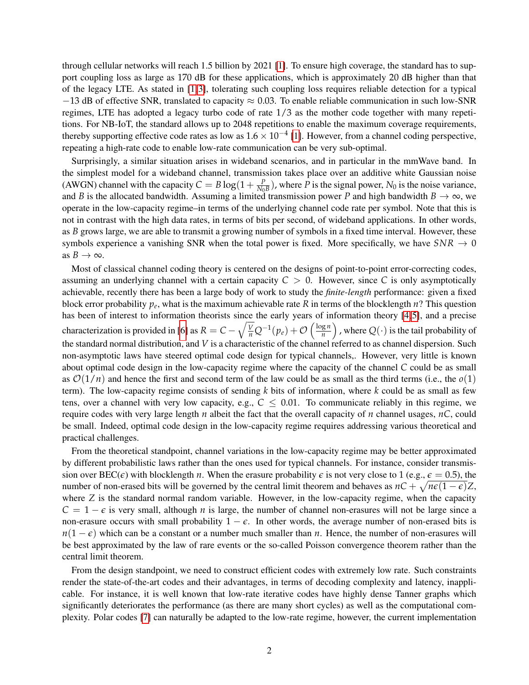through cellular networks will reach 1.5 billion by 2021 [\[1\]](#page-34-0). To ensure high coverage, the standard has to support coupling loss as large as 170 dB for these applications, which is approximately 20 dB higher than that of the legacy LTE. As stated in [\[1,](#page-34-0)[3\]](#page-34-2), tolerating such coupling loss requires reliable detection for a typical  $-13$  dB of effective SNR, translated to capacity  $\approx 0.03$ . To enable reliable communication in such low-SNR regimes, LTE has adopted a legacy turbo code of rate 1/3 as the mother code together with many repetitions. For NB-IoT, the standard allows up to 2048 repetitions to enable the maximum coverage requirements, thereby supporting effective code rates as low as  $1.6 \times 10^{-4}$  [\[1\]](#page-34-0). However, from a channel coding perspective, repeating a high-rate code to enable low-rate communication can be very sub-optimal.

Surprisingly, a similar situation arises in wideband scenarios, and in particular in the mmWave band. In the simplest model for a wideband channel, transmission takes place over an additive white Gaussian noise (AWGN) channel with the capacity  $C = B \log(1 + \frac{P}{N_0 B})$ , where *P* is the signal power,  $N_0$  is the noise variance, and *B* is the allocated bandwidth. Assuming a limited transmission power *P* and high bandwidth  $B \to \infty$ , we operate in the low-capacity regime–in terms of the underlying channel code rate per symbol. Note that this is not in contrast with the high data rates, in terms of bits per second, of wideband applications. In other words, as *B* grows large, we are able to transmit a growing number of symbols in a fixed time interval. However, these symbols experience a vanishing SNR when the total power is fixed. More specifically, we have  $SNR \rightarrow 0$ as  $B \to \infty$ .

Most of classical channel coding theory is centered on the designs of point-to-point error-correcting codes, assuming an underlying channel with a certain capacity  $C > 0$ . However, since C is only asymptotically achievable, recently there has been a large body of work to study the *finite-length* performance: given a fixed block error probability *p<sup>e</sup>* , what is the maximum achievable rate *R* in terms of the blocklength *n*? This question has been of interest to information theorists since the early years of information theory [\[4,](#page-34-3)[5\]](#page-34-4), and a precise characterization is provided in [\[6\]](#page-35-0) as  $R = C - \sqrt{\frac{V}{n}}Q^{-1}(p_e) + \mathcal{O}\left(\frac{\log n}{n}\right)$  $\left(\frac{g_n}{n}\right)$  , where  $Q(\cdot)$  is the tail probability of the standard normal distribution, and *V* is a characteristic of the channel referred to as channel dispersion. Such non-asymptotic laws have steered optimal code design for typical channels,. However, very little is known about optimal code design in the low-capacity regime where the capacity of the channel *C* could be as small as  $\mathcal{O}(1/n)$  and hence the first and second term of the law could be as small as the third terms (i.e., the  $o(1)$ ) term). The low-capacity regime consists of sending *k* bits of information, where *k* could be as small as few tens, over a channel with very low capacity, e.g.,  $C \leq 0.01$ . To communicate reliably in this regime, we require codes with very large length *n* albeit the fact that the overall capacity of *n* channel usages, *nC*, could be small. Indeed, optimal code design in the low-capacity regime requires addressing various theoretical and practical challenges.

From the theoretical standpoint, channel variations in the low-capacity regime may be better approximated by different probabilistic laws rather than the ones used for typical channels. For instance, consider transmission over  $\text{BEC}(\epsilon)$  with blocklength *n*. When the erasure probability  $\epsilon$  is not very close to 1 (e.g.,  $\epsilon = 0.5$ ), the number of non-erased bits will be governed by the central limit theorem and behaves as  $nC + \sqrt{n\epsilon(1-\epsilon)}Z$ , where *Z* is the standard normal random variable. However, in the low-capacity regime, when the capacity  $C = 1 - \epsilon$  is very small, although *n* is large, the number of channel non-erasures will not be large since a non-erasure occurs with small probability  $1 - \epsilon$ . In other words, the average number of non-erased bits is  $n(1 - \epsilon)$  which can be a constant or a number much smaller than *n*. Hence, the number of non-erasures will be best approximated by the law of rare events or the so-called Poisson convergence theorem rather than the central limit theorem.

From the design standpoint, we need to construct efficient codes with extremely low rate. Such constraints render the state-of-the-art codes and their advantages, in terms of decoding complexity and latency, inapplicable. For instance, it is well known that low-rate iterative codes have highly dense Tanner graphs which significantly deteriorates the performance (as there are many short cycles) as well as the computational complexity. Polar codes [\[7\]](#page-35-1) can naturally be adapted to the low-rate regime, however, the current implementation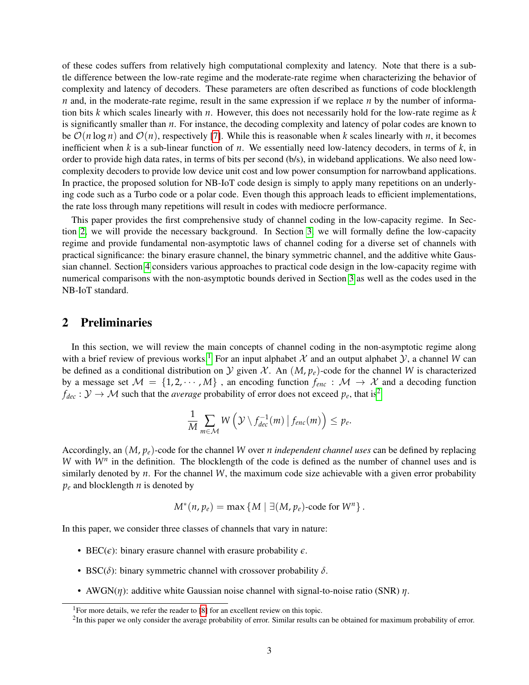of these codes suffers from relatively high computational complexity and latency. Note that there is a subtle difference between the low-rate regime and the moderate-rate regime when characterizing the behavior of complexity and latency of decoders. These parameters are often described as functions of code blocklength *n* and, in the moderate-rate regime, result in the same expression if we replace *n* by the number of information bits *k* which scales linearly with *n*. However, this does not necessarily hold for the low-rate regime as *k* is significantly smaller than *n*. For instance, the decoding complexity and latency of polar codes are known to be  $\mathcal{O}(n \log n)$  and  $\mathcal{O}(n)$ , respectively [\[7\]](#page-35-1). While this is reasonable when *k* scales linearly with *n*, it becomes inefficient when *k* is a sub-linear function of *n*. We essentially need low-latency decoders, in terms of *k*, in order to provide high data rates, in terms of bits per second (b/s), in wideband applications. We also need lowcomplexity decoders to provide low device unit cost and low power consumption for narrowband applications. In practice, the proposed solution for NB-IoT code design is simply to apply many repetitions on an underlying code such as a Turbo code or a polar code. Even though this approach leads to efficient implementations, the rate loss through many repetitions will result in codes with mediocre performance.

This paper provides the first comprehensive study of channel coding in the low-capacity regime. In Section [2,](#page-2-0) we will provide the necessary background. In Section [3,](#page-3-0) we will formally define the low-capacity regime and provide fundamental non-asymptotic laws of channel coding for a diverse set of channels with practical significance: the binary erasure channel, the binary symmetric channel, and the additive white Gaussian channel. Section [4](#page-7-0) considers various approaches to practical code design in the low-capacity regime with numerical comparisons with the non-asymptotic bounds derived in Section [3](#page-3-0) as well as the codes used in the NB-IoT standard.

# <span id="page-2-0"></span>2 Preliminaries

In this section, we will review the main concepts of channel coding in the non-asymptotic regime along with a brief review of previous works.<sup>[1](#page-2-1)</sup> For an input alphabet X and an output alphabet Y, a channel W can be defined as a conditional distribution on  $\mathcal Y$  given  $\mathcal X$ . An  $(M, p_e)$ -code for the channel W is characterized by a message set  $M = \{1, 2, \cdots, M\}$ , an encoding function  $f_{enc}: M \rightarrow X$  and a decoding function  $f_{dec}: \mathcal{Y} \to \mathcal{M}$  such that the *average* probability of error does not exceed  $p_e$ , that is<sup>[2](#page-2-2)</sup>

$$
\frac{1}{M}\sum_{m\in\mathcal{M}}W\left(\mathcal{Y}\setminus f_{dec}^{-1}(m)\,\big|\,f_{enc}(m)\right)\leq p_e.
$$

Accordingly, an (*M*, *pe*)-code for the channel *W* over *n independent channel uses* can be defined by replacing *W* with  $W<sup>n</sup>$  in the definition. The blocklength of the code is defined as the number of channel uses and is similarly denoted by *n*. For the channel *W*, the maximum code size achievable with a given error probability *p<sup>e</sup>* and blocklength *n* is denoted by

$$
M^*(n, p_e) = \max \{ M \mid \exists (M, p_e)\text{-code for } W^n \}.
$$

In this paper, we consider three classes of channels that vary in nature:

- BEC( $\epsilon$ ): binary erasure channel with erasure probability  $\epsilon$ .
- BSC( $\delta$ ): binary symmetric channel with crossover probability  $\delta$ .
- AWGN( $η$ ): additive white Gaussian noise channel with signal-to-noise ratio (SNR)  $η$ .

<span id="page-2-1"></span><sup>&</sup>lt;sup>1</sup>For more details, we refer the reader to [\[8\]](#page-35-2) for an excellent review on this topic.

<span id="page-2-2"></span> ${}^{2}$ In this paper we only consider the average probability of error. Similar results can be obtained for maximum probability of error.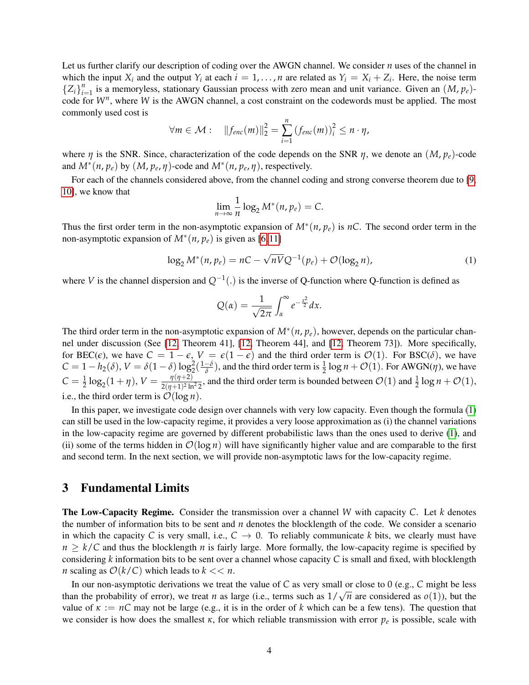Let us further clarify our description of coding over the AWGN channel. We consider *n* uses of the channel in which the input  $X_i$  and the output  $Y_i$  at each  $i = 1, ..., n$  are related as  $Y_i = X_i + Z_i$ . Here, the noise term  ${Z_i}_{i=1}^n$  is a memoryless, stationary Gaussian process with zero mean and unit variance. Given an  $(M, p_e)$ code for *W<sup>n</sup>* , where *W* is the AWGN channel, a cost constraint on the codewords must be applied. The most commonly used cost is

$$
\forall m \in \mathcal{M}: \quad \|f_{enc}(m)\|_2^2 = \sum_{i=1}^n \left(f_{enc}(m)\right)_i^2 \leq n \cdot \eta,
$$

where *η* is the SNR. Since, characterization of the code depends on the SNR *η*, we denote an (*M*, *pe*)-code and  $M^*(n, p_e)$  by  $(M, p_e, \eta)$ -code and  $M^*(n, p_e, \eta)$ , respectively.

For each of the channels considered above, from the channel coding and strong converse theorem due to [\[9,](#page-35-3) [10\]](#page-35-4), we know that

$$
\lim_{n\to\infty}\frac{1}{n}\log_2 M^*(n,p_e)=C.
$$

Thus the first order term in the non-asymptotic expansion of  $M^*(n, p_e)$  is  $nC$ . The second order term in the non-asymptotic expansion of  $M^*(n, p_e)$  is given as [\[6,](#page-35-0)[11\]](#page-35-5)

<span id="page-3-1"></span>
$$
\log_2 M^*(n, p_e) = nC - \sqrt{nV}Q^{-1}(p_e) + \mathcal{O}(\log_2 n),
$$
 (1)

where *V* is the channel dispersion and *Q*−<sup>1</sup> (.) is the inverse of Q-function where Q-function is defined as

$$
Q(\alpha) = \frac{1}{\sqrt{2\pi}} \int_{\alpha}^{\infty} e^{-\frac{x^2}{2}} dx.
$$

The third order term in the non-asymptotic expansion of  $M^*(n, p_e)$ , however, depends on the particular channel under discussion (See [\[12,](#page-35-6) Theorem 41], [\[12,](#page-35-6) Theorem 44], and [\[12,](#page-35-6) Theorem 73]). More specifically, for BEC( $\epsilon$ ), we have  $C = 1 - \epsilon$ ,  $V = \epsilon(1 - \epsilon)$  and the third order term is  $\mathcal{O}(1)$ . For BSC( $\delta$ ), we have  $C = 1 - h_2(\delta)$ ,  $V = \delta(1 - \delta) \log_2^2(\frac{1 - \delta}{\delta})$ , and the third order term is  $\frac{1}{2} \log n + \mathcal{O}(1)$ . For AWGN(*η*), we have  $C = \frac{1}{2} \log_2(1 + \eta), V = \frac{\eta(\eta+2)}{2(\eta+1)^2 \ln^2 2},$  $\frac{\eta(\eta+2)}{2(\eta+1)^2 \ln^2 2}$ , and the third order term is bounded between  $\mathcal{O}(1)$  and  $\frac{1}{2} \log n + \mathcal{O}(1)$ , i.e., the third order term is  $\mathcal{O}(\log n)$ .

In this paper, we investigate code design over channels with very low capacity. Even though the formula [\(1\)](#page-3-1) can still be used in the low-capacity regime, it provides a very loose approximation as (i) the channel variations in the low-capacity regime are governed by different probabilistic laws than the ones used to derive [\(1\)](#page-3-1), and (ii) some of the terms hidden in  $\mathcal{O}(\log n)$  will have significantly higher value and are comparable to the first and second term. In the next section, we will provide non-asymptotic laws for the low-capacity regime.

# <span id="page-3-0"></span>3 Fundamental Limits

The Low-Capacity Regime. Consider the transmission over a channel *W* with capacity *C*. Let *k* denotes the number of information bits to be sent and *n* denotes the blocklength of the code. We consider a scenario in which the capacity *C* is very small, i.e.,  $C \rightarrow 0$ . To reliably communicate *k* bits, we clearly must have  $n \geq k/C$  and thus the blocklength *n* is fairly large. More formally, the low-capacity regime is specified by considering *k* information bits to be sent over a channel whose capacity *C* is small and fixed, with blocklength *n* scaling as  $O(k/C)$  which leads to  $k \lt \lt n$ .

In our non-asymptotic derivations we treat the value of *C* as very small or close to 0 (e.g., *C* might be less than the probability of error), we treat *n* as large (i.e., terms such as  $1/\sqrt{n}$  are considered as  $o(1)$ ), but the value of  $\kappa := nC$  may not be large (e.g., it is in the order of k which can be a few tens). The question that we consider is how does the smallest  $\kappa$ , for which reliable transmission with error  $p_e$  is possible, scale with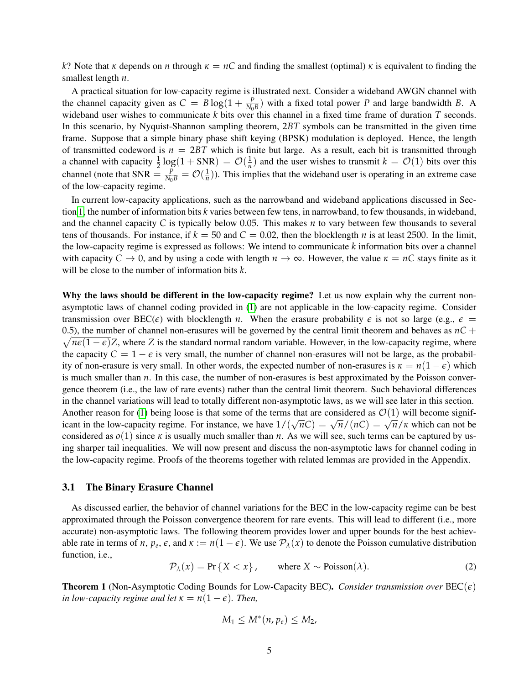*k*? Note that *κ* depends on *n* through  $κ = nC$  and finding the smallest (optimal) *κ* is equivalent to finding the smallest length *n*.

A practical situation for low-capacity regime is illustrated next. Consider a wideband AWGN channel with the channel capacity given as  $C = B \log(1 + \frac{P}{N_0 B})$  with a fixed total power *P* and large bandwidth *B*. A wideband user wishes to communicate *k* bits over this channel in a fixed time frame of duration *T* seconds. In this scenario, by Nyquist-Shannon sampling theorem, 2*BT* symbols can be transmitted in the given time frame. Suppose that a simple binary phase shift keying (BPSK) modulation is deployed. Hence, the length of transmitted codeword is  $n = 2BT$  which is finite but large. As a result, each bit is transmitted through a channel with capacity  $\frac{1}{2} \log(1 + SNR) = \mathcal{O}(\frac{1}{n})$  and the user wishes to transmit  $k = \mathcal{O}(1)$  bits over this channel (note that SNR  $= \frac{P}{N_0 B} = \mathcal{O}(\frac{1}{n})$ ). This implies that the wideband user is operating in an extreme case of the low-capacity regime.

In current low-capacity applications, such as the narrowband and wideband applications discussed in Section [1,](#page-0-0) the number of information bits *k* varies between few tens, in narrowband, to few thousands, in wideband, and the channel capacity *C* is typically below 0.05. This makes *n* to vary between few thousands to several tens of thousands. For instance, if  $k = 50$  and  $C = 0.02$ , then the blocklength *n* is at least 2500. In the limit, the low-capacity regime is expressed as follows: We intend to communicate *k* information bits over a channel with capacity  $C \to 0$ , and by using a code with length  $n \to \infty$ . However, the value  $\kappa = nC$  stays finite as it will be close to the number of information bits *k*.

Why the laws should be different in the low-capacity regime? Let us now explain why the current nonasymptotic laws of channel coding provided in [\(1\)](#page-3-1) are not applicable in the low-capacity regime. Consider transmission over  $\text{BEC}(\epsilon)$  with blocklength *n*. When the erasure probability  $\epsilon$  is not so large (e.g.,  $\epsilon$  = 0.5), the number of channel non-erasures will be governed by the central limit theorem and behaves as  $nC +$  $\sqrt{n\epsilon(1-\epsilon)}Z$ , where *Z* is the standard normal random variable. However, in the low-capacity regime, where the capacity  $C = 1 - \epsilon$  is very small, the number of channel non-erasures will not be large, as the probability of non-erasure is very small. In other words, the expected number of non-erasures is  $\kappa = n(1 - \epsilon)$  which is much smaller than *n*. In this case, the number of non-erasures is best approximated by the Poisson convergence theorem (i.e., the law of rare events) rather than the central limit theorem. Such behavioral differences in the channel variations will lead to totally different non-asymptotic laws, as we will see later in this section. Another reason for [\(1\)](#page-3-1) being loose is that some of the terms that are considered as  $\mathcal{O}(1)$  will become signif-Ahouter reason for (1) being loose is that some of the terms that are considered as  $O(1)$  will become sigmi-<br>icant in the low-capacity regime. For instance, we have  $1/(\sqrt{n}C) = \sqrt{n}/(nC) = \sqrt{n}/\kappa$  which can not be considered as  $o(1)$  since  $\kappa$  is usually much smaller than  $n$ . As we will see, such terms can be captured by using sharper tail inequalities. We will now present and discuss the non-asymptotic laws for channel coding in the low-capacity regime. Proofs of the theorems together with related lemmas are provided in the Appendix.

#### 3.1 The Binary Erasure Channel

As discussed earlier, the behavior of channel variations for the BEC in the low-capacity regime can be best approximated through the Poisson convergence theorem for rare events. This will lead to different (i.e., more accurate) non-asymptotic laws. The following theorem provides lower and upper bounds for the best achievable rate in terms of *n*,  $p_e$ ,  $\epsilon$ , and  $\kappa := n(1 - \epsilon)$ . We use  $\mathcal{P}_\lambda(x)$  to denote the Poisson cumulative distribution function, i.e.,

<span id="page-4-1"></span>
$$
\mathcal{P}_{\lambda}(x) = \Pr\{X < x\}, \qquad \text{where } X \sim \text{Poisson}(\lambda). \tag{2}
$$

<span id="page-4-0"></span>**Theorem 1** (Non-Asymptotic Coding Bounds for Low-Capacity BEC). *Consider transmission over*  $BEC(\epsilon)$ *in low-capacity regime and let*  $\kappa = n(1 - \epsilon)$ *. Then,* 

$$
M_1\leq M^*(n,p_e)\leq M_2,
$$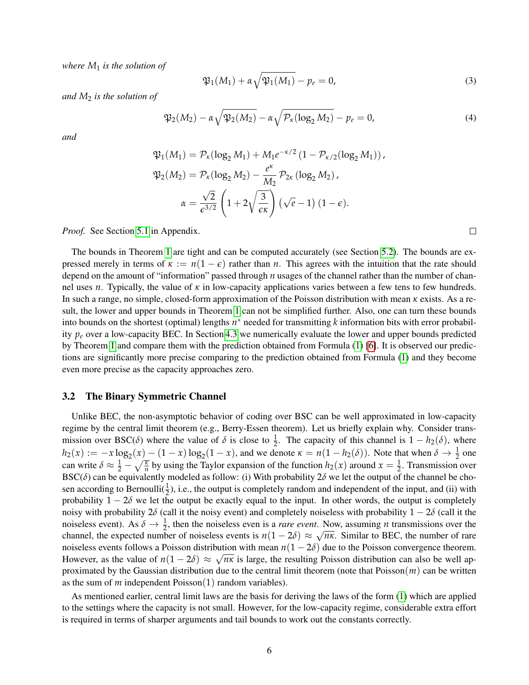*where M*<sup>1</sup> *is the solution of*

<span id="page-5-1"></span>
$$
\mathfrak{P}_1(M_1) + \alpha \sqrt{\mathfrak{P}_1(M_1)} - p_e = 0,
$$
\n(3)

 $\Box$ 

*and M*<sup>2</sup> *is the solution of*

<span id="page-5-0"></span>
$$
\mathfrak{P}_2(M_2) - \alpha \sqrt{\mathfrak{P}_2(M_2)} - \alpha \sqrt{\mathcal{P}_\kappa(\log_2 M_2)} - p_e = 0,
$$
\n(4)

*and*

$$
\mathfrak{P}_1(M_1) = \mathcal{P}_\kappa(\log_2 M_1) + M_1 e^{-\kappa/2} \left(1 - \mathcal{P}_{\kappa/2}(\log_2 M_1)\right),
$$
  

$$
\mathfrak{P}_2(M_2) = \mathcal{P}_\kappa(\log_2 M_2) - \frac{e^{\kappa}}{M_2} \mathcal{P}_{2\kappa}(\log_2 M_2),
$$
  

$$
\alpha = \frac{\sqrt{2}}{\epsilon^{3/2}} \left(1 + 2\sqrt{\frac{3}{\epsilon \kappa}}\right) \left(\sqrt{e} - 1\right) (1 - \epsilon).
$$

*Proof.* See Section [5.1](#page-12-0) in Appendix.

The bounds in Theorem [1](#page-4-0) are tight and can be computed accurately (see Section [5.2\)](#page-18-0). The bounds are expressed merely in terms of  $\kappa := n(1 - \epsilon)$  rather than *n*. This agrees with the intuition that the rate should depend on the amount of "information" passed through *n* usages of the channel rather than the number of channel uses *n*. Typically, the value of *κ* in low-capacity applications varies between a few tens to few hundreds. In such a range, no simple, closed-form approximation of the Poisson distribution with mean *κ* exists. As a result, the lower and upper bounds in Theorem [1](#page-4-0) can not be simplified further. Also, one can turn these bounds into bounds on the shortest (optimal) lengths *n* <sup>∗</sup> needed for transmitting *k* information bits with error probability *p<sup>e</sup>* over a low-capacity BEC. In Section [4.3](#page-10-0) we numerically evaluate the lower and upper bounds predicted by Theorem [1](#page-4-0) and compare them with the prediction obtained from Formula [\(1\)](#page-3-1) [\[6\]](#page-35-0). It is observed our predictions are significantly more precise comparing to the prediction obtained from Formula [\(1\)](#page-3-1) and they become even more precise as the capacity approaches zero.

#### 3.2 The Binary Symmetric Channel

Unlike BEC, the non-asymptotic behavior of coding over BSC can be well approximated in low-capacity regime by the central limit theorem (e.g., Berry-Essen theorem). Let us briefly explain why. Consider transmission over BSC( $\delta$ ) where the value of  $\delta$  is close to  $\frac{1}{2}$ . The capacity of this channel is  $1 - h_2(\delta)$ , where  $h_2(x) := -x \log_2(x) - (1-x) \log_2(1-x)$ , and we denote  $\kappa = n(1 - h_2(\delta))$ . Note that when  $\delta \to \frac{1}{2}$  one can write  $\delta \approx \frac{1}{2} - \sqrt{\frac{\kappa}{n}}$  by using the Taylor expansion of the function  $h_2(x)$  around  $x = \frac{1}{2}$ . Transmission over BSC( $\delta$ ) can be equivalently modeled as follow: (i) With probability  $2\delta$  we let the output of the channel be chosen according to Bernoulli( $\frac{1}{2}$ ), i.e., the output is completely random and independent of the input, and (ii) with probability  $1 - 2\delta$  we let the output be exactly equal to the input. In other words, the output is completely noisy with probability  $2\delta$  (call it the noisy event) and completely noiseless with probability  $1 - 2\delta$  (call it the noiseless event). As  $\delta \to \frac{1}{2}$ , then the noiseless even is a *rare event*. Now, assuming *n* transmissions over the channel, the expected number of noiseless events is  $n(1-2\delta) \approx \sqrt{n\kappa}$ . Similar to BEC, the number of rare noiseless events follows a Poisson distribution with mean  $n(1 - 2\delta)$  due to the Poisson convergence theorem. However, as the value of  $n(1-2\delta) \approx \sqrt{n\kappa}$  is large, the resulting Poisson distribution can also be well approximated by the Gaussian distribution due to the central limit theorem (note that  $Poisson(m)$ ) can be written as the sum of *m* independent Poisson(1) random variables).

As mentioned earlier, central limit laws are the basis for deriving the laws of the form [\(1\)](#page-3-1) which are applied to the settings where the capacity is not small. However, for the low-capacity regime, considerable extra effort is required in terms of sharper arguments and tail bounds to work out the constants correctly.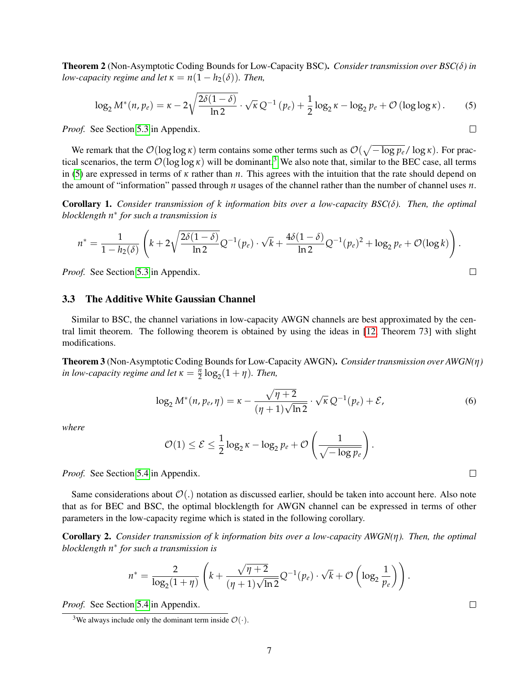<span id="page-6-2"></span>Theorem 2 (Non-Asymptotic Coding Bounds for Low-Capacity BSC). *Consider transmission over BSC(δ) in low-capacity regime and let*  $\kappa = n(1 - h_2(\delta))$ *. Then,* 

<span id="page-6-1"></span>
$$
\log_2 M^*(n, p_e) = \kappa - 2\sqrt{\frac{2\delta(1-\delta)}{\ln 2}} \cdot \sqrt{\kappa} Q^{-1}(p_e) + \frac{1}{2}\log_2 \kappa - \log_2 p_e + \mathcal{O}(\log \log \kappa). \tag{5}
$$

*Proof.* See Section [5.3](#page-19-0) in Appendix.

We remark that the  $\mathcal{O}(\log \log \kappa)$  term contains some other terms such as  $\mathcal{O}(\sqrt{-\log p_e}/\log \kappa)$ . For practical scenarios, the term  $\mathcal{O}(\log \log \kappa)$  will be dominant.<sup>[3](#page-6-0)</sup> We also note that, similar to the BEC case, all terms in [\(5\)](#page-6-1) are expressed in terms of *κ* rather than *n*. This agrees with the intuition that the rate should depend on the amount of "information" passed through *n* usages of the channel rather than the number of channel uses *n*.

<span id="page-6-3"></span>Corollary 1. *Consider transmission of k information bits over a low-capacity BSC(δ). Then, the optimal blocklength n* ∗ *for such a transmission is*

$$
n^* = \frac{1}{1 - h_2(\delta)} \left( k + 2\sqrt{\frac{2\delta(1-\delta)}{\ln 2}} Q^{-1}(p_e) \cdot \sqrt{k} + \frac{4\delta(1-\delta)}{\ln 2} Q^{-1}(p_e)^2 + \log_2 p_e + \mathcal{O}(\log k) \right).
$$

*Proof.* See Section [5.3](#page-19-0) in Appendix.

#### 3.3 The Additive White Gaussian Channel

Similar to BSC, the channel variations in low-capacity AWGN channels are best approximated by the central limit theorem. The following theorem is obtained by using the ideas in [\[12,](#page-35-6) Theorem 73] with slight modifications.

<span id="page-6-4"></span>Theorem 3 (Non-Asymptotic Coding Bounds for Low-Capacity AWGN). *Consider transmission over AWGN(η) in low-capacity regime and let*  $\kappa = \frac{n}{2} \log_2(1 + \eta)$ *. Then,* 

<span id="page-6-6"></span>
$$
\log_2 M^*(n, p_e, \eta) = \kappa - \frac{\sqrt{\eta + 2}}{(\eta + 1)\sqrt{\ln 2}} \cdot \sqrt{\kappa} Q^{-1}(p_e) + \mathcal{E},\tag{6}
$$

.

*where*

$$
\mathcal{O}(1) \leq \mathcal{E} \leq \frac{1}{2} \log_2 \kappa - \log_2 p_e + \mathcal{O}\left(\frac{1}{\sqrt{-\log p_e}}\right)
$$

*Proof.* See Section [5.4](#page-28-0) in Appendix.

Same considerations about  $\mathcal{O}(.)$  notation as discussed earlier, should be taken into account here. Also note that as for BEC and BSC, the optimal blocklength for AWGN channel can be expressed in terms of other parameters in the low-capacity regime which is stated in the following corollary.

<span id="page-6-5"></span>Corollary 2. *Consider transmission of k information bits over a low-capacity AWGN(η). Then, the optimal blocklength n* ∗ *for such a transmission is*

$$
n^* = \frac{2}{\log_2(1+\eta)} \left( k + \frac{\sqrt{\eta+2}}{(\eta+1)\sqrt{\ln 2}} Q^{-1}(p_e) \cdot \sqrt{k} + \mathcal{O}\left(\log_2 \frac{1}{p_e}\right) \right).
$$

*Proof.* See Section [5.4](#page-28-0) in Appendix.

 $\Box$ 

 $\Box$ 

 $\Box$ 

<span id="page-6-0"></span><sup>&</sup>lt;sup>3</sup>We always include only the dominant term inside  $\mathcal{O}(\cdot)$ .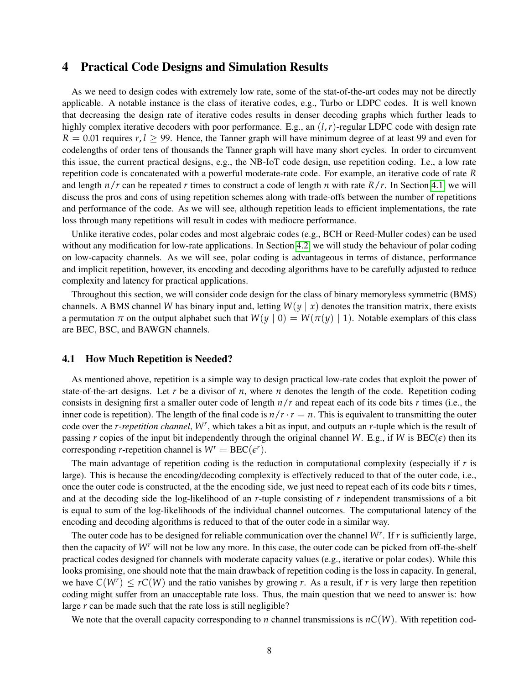## <span id="page-7-0"></span>4 Practical Code Designs and Simulation Results

As we need to design codes with extremely low rate, some of the stat-of-the-art codes may not be directly applicable. A notable instance is the class of iterative codes, e.g., Turbo or LDPC codes. It is well known that decreasing the design rate of iterative codes results in denser decoding graphs which further leads to highly complex iterative decoders with poor performance. E.g., an  $(l, r)$ -regular LDPC code with design rate  $R = 0.01$  requires  $r, l \ge 99$ . Hence, the Tanner graph will have minimum degree of at least 99 and even for codelengths of order tens of thousands the Tanner graph will have many short cycles. In order to circumvent this issue, the current practical designs, e.g., the NB-IoT code design, use repetition coding. I.e., a low rate repetition code is concatenated with a powerful moderate-rate code. For example, an iterative code of rate *R* and length  $n/r$  can be repeated *r* times to construct a code of length *n* with rate  $R/r$ . In Section [4.1,](#page-7-1) we will discuss the pros and cons of using repetition schemes along with trade-offs between the number of repetitions and performance of the code. As we will see, although repetition leads to efficient implementations, the rate loss through many repetitions will result in codes with mediocre performance.

Unlike iterative codes, polar codes and most algebraic codes (e.g., BCH or Reed-Muller codes) can be used without any modification for low-rate applications. In Section [4.2,](#page-9-0) we will study the behaviour of polar coding on low-capacity channels. As we will see, polar coding is advantageous in terms of distance, performance and implicit repetition, however, its encoding and decoding algorithms have to be carefully adjusted to reduce complexity and latency for practical applications.

Throughout this section, we will consider code design for the class of binary memoryless symmetric (BMS) channels. A BMS channel *W* has binary input and, letting  $W(y | x)$  denotes the transition matrix, there exists a permutation  $\pi$  on the output alphabet such that  $W(y | 0) = W(\pi(y) | 1)$ . Notable exemplars of this class are BEC, BSC, and BAWGN channels.

#### <span id="page-7-1"></span>4.1 How Much Repetition is Needed?

As mentioned above, repetition is a simple way to design practical low-rate codes that exploit the power of state-of-the-art designs. Let *r* be a divisor of *n*, where *n* denotes the length of the code. Repetition coding consists in designing first a smaller outer code of length *n*/*r* and repeat each of its code bits *r* times (i.e., the inner code is repetition). The length of the final code is  $n/r \cdot r = n$ . This is equivalent to transmitting the outer code over the *r-repetition channel*, *W<sup>r</sup>* , which takes a bit as input, and outputs an *r*-tuple which is the result of passing *r* copies of the input bit independently through the original channel *W*. E.g., if *W* is  $\text{BEC}(\epsilon)$  then its corresponding *r*-repetition channel is  $W^r = \text{BEC}(\epsilon^r)$ .

The main advantage of repetition coding is the reduction in computational complexity (especially if *r* is large). This is because the encoding/decoding complexity is effectively reduced to that of the outer code, i.e., once the outer code is constructed, at the the encoding side, we just need to repeat each of its code bits *r* times, and at the decoding side the log-likelihood of an *r*-tuple consisting of *r* independent transmissions of a bit is equal to sum of the log-likelihoods of the individual channel outcomes. The computational latency of the encoding and decoding algorithms is reduced to that of the outer code in a similar way.

The outer code has to be designed for reliable communication over the channel *W<sup>r</sup>* . If *r* is sufficiently large, then the capacity of *W<sup>r</sup>* will not be low any more. In this case, the outer code can be picked from off-the-shelf practical codes designed for channels with moderate capacity values (e.g., iterative or polar codes). While this looks promising, one should note that the main drawback of repetition coding is the loss in capacity. In general, we have  $C(W^r) \leq rC(W)$  and the ratio vanishes by growing *r*. As a result, if *r* is very large then repetition coding might suffer from an unacceptable rate loss. Thus, the main question that we need to answer is: how large *r* can be made such that the rate loss is still negligible?

We note that the overall capacity corresponding to *n* channel transmissions is  $nC(W)$ . With repetition cod-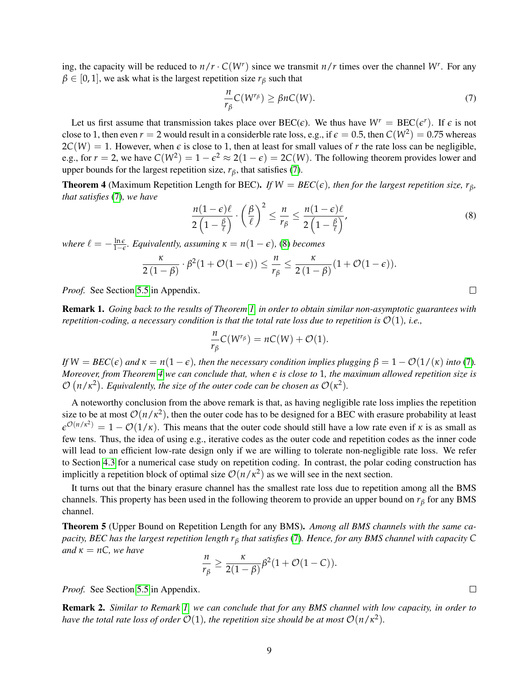ing, the capacity will be reduced to  $n/r \cdot C(W^r)$  since we transmit  $n/r$  times over the channel W<sup>*r*</sup>. For any  $\beta \in [0, 1]$ , we ask what is the largest repetition size  $r_\beta$  such that

<span id="page-8-0"></span>
$$
\frac{n}{r_{\beta}}C(W^{r_{\beta}}) \ge \beta n C(W). \tag{7}
$$

Let us first assume that transmission takes place over  $\text{BEC}(\epsilon)$ . We thus have  $W^r = \text{BEC}(\epsilon^r)$ . If  $\epsilon$  is not close to 1, then even  $r = 2$  would result in a considerble rate loss, e.g., if  $\epsilon = 0.5$ , then  $C(W^2) = 0.75$  whereas  $2C(W) = 1$ . However, when  $\epsilon$  is close to 1, then at least for small values of r the rate loss can be negligible, e.g., for  $r = 2$ , we have  $C(W^2) = 1 - \epsilon^2 \approx 2(1 - \epsilon) = 2C(W)$ . The following theorem provides lower and upper bounds for the largest repetition size,  $r_\beta$ , that satisfies [\(7\)](#page-8-0).

<span id="page-8-2"></span>**Theorem 4** (Maximum Repetition Length for BEC). *If*  $W = BEC(\epsilon)$ , then for the largest repetition size,  $r_{\beta}$ , *that satisfies* [\(7\)](#page-8-0)*, we have*

<span id="page-8-1"></span>
$$
\frac{n(1-\epsilon)\ell}{2\left(1-\frac{\beta}{\ell}\right)} \cdot \left(\frac{\beta}{\ell}\right)^2 \le \frac{n}{r_\beta} \le \frac{n(1-\epsilon)\ell}{2\left(1-\frac{\beta}{\ell}\right)},\tag{8}
$$

*where*  $\ell = -\frac{\ln \epsilon}{1-\epsilon}$ *. Equivalently, assuming*  $\kappa = n(1-\epsilon)$ *,* [\(8\)](#page-8-1) *becomes* 

$$
\frac{\kappa}{2\left(1-\beta\right)}\cdot \beta^2 (1+\mathcal{O}(1-\epsilon))\leq \frac{n}{r_\beta}\leq \frac{\kappa}{2\left(1-\beta\right)}(1+\mathcal{O}(1-\epsilon)).
$$

*Proof.* See Section [5.5](#page-32-0) in Appendix.

<span id="page-8-3"></span>Remark 1. *Going back to the results of Theorem [1,](#page-4-0) in order to obtain similar non-asymptotic guarantees with repetition-coding, a necessary condition is that the total rate loss due to repetition is*  $\mathcal{O}(1)$ *, i.e.,* 

$$
\frac{n}{r_{\beta}}C(W^{r_{\beta}})=nC(W)+\mathcal{O}(1).
$$

 $I f W = BEC(\epsilon)$  *and*  $\kappa = n(1 - \epsilon)$ *, then the necessary condition implies plugging*  $\beta = 1 - \mathcal{O}(1/(\kappa))$  *into* [\(7\)](#page-8-0)*. Moreover, from Theorem [4](#page-8-2) we can conclude that, when e is close to* 1*, the maximum allowed repetition size is*  $\mathcal{O}(n/\kappa^2)$ . Equivalently, the size of the outer code can be chosen as  $\mathcal{O}(\kappa^2)$ .

A noteworthy conclusion from the above remark is that, as having negligible rate loss implies the repetition size to be at most  $\mathcal{O}(n/\kappa^2)$ , then the outer code has to be designed for a BEC with erasure probability at least  $\epsilon^{O(n/\kappa^2)} = 1 - O(1/\kappa)$ . This means that the outer code should still have a low rate even if *κ* is as small as few tens. Thus, the idea of using e.g., iterative codes as the outer code and repetition codes as the inner code will lead to an efficient low-rate design only if we are willing to tolerate non-negligible rate loss. We refer to Section [4.3](#page-10-0) for a numerical case study on repetition coding. In contrast, the polar coding construction has implicitly a repetition block of optimal size  $\mathcal{O}(n/\kappa^2)$  as we will see in the next section.

It turns out that the binary erasure channel has the smallest rate loss due to repetition among all the BMS channels. This property has been used in the following theorem to provide an upper bound on  $r<sub>β</sub>$  for any BMS channel.

<span id="page-8-5"></span>Theorem 5 (Upper Bound on Repetition Length for any BMS). *Among all BMS channels with the same capacity, BEC has the largest repetition length r<sup>β</sup> that satisfies* [\(7\)](#page-8-0)*. Hence, for any BMS channel with capacity C and*  $\kappa = nC$ *, we have* 

$$
\frac{n}{r_{\beta}} \geq \frac{\kappa}{2(1-\beta)}\beta^2(1+\mathcal{O}(1-C)).
$$

*Proof.* See Section [5.5](#page-32-0) in Appendix.

<span id="page-8-4"></span>Remark 2. *Similar to Remark [1,](#page-8-3) we can conclude that for any BMS channel with low capacity, in order to have the total rate loss of order*  $\mathcal{O}(1)$ *, the repetition size should be at most*  $\mathcal{O}(n/\kappa^2)$ *.* 

 $\Box$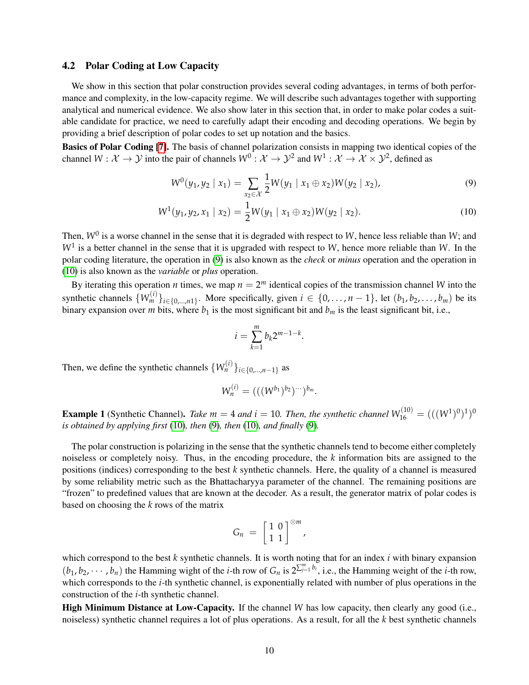## <span id="page-9-0"></span>4.2 Polar Coding at Low Capacity

We show in this section that polar construction provides several coding advantages, in terms of both performance and complexity, in the low-capacity regime. We will describe such advantages together with supporting analytical and numerical evidence. We also show later in this section that, in order to make polar codes a suitable candidate for practice, we need to carefully adapt their encoding and decoding operations. We begin by providing a brief description of polar codes to set up notation and the basics.

Basics of Polar Coding [\[7\]](#page-35-1). The basis of channel polarization consists in mapping two identical copies of the channel  $W: \mathcal{X} \to \mathcal{Y}$  into the pair of channels  $W^0: \mathcal{X} \to \mathcal{Y}^2$  and  $W^1: \mathcal{X} \to \mathcal{X} \times \mathcal{Y}^2$ , defined as

$$
W^{0}(y_{1}, y_{2} \mid x_{1}) = \sum_{x_{2} \in \mathcal{X}} \frac{1}{2} W(y_{1} \mid x_{1} \oplus x_{2}) W(y_{2} \mid x_{2}), \qquad (9)
$$

$$
W^{1}(y_{1}, y_{2}, x_{1} \mid x_{2}) = \frac{1}{2}W(y_{1} \mid x_{1} \oplus x_{2})W(y_{2} \mid x_{2}). \tag{10}
$$

Then,  $W^0$  is a worse channel in the sense that it is degraded with respect to *W*, hence less reliable than *W*; and *W*<sup>1</sup> is a better channel in the sense that it is upgraded with respect to *W*, hence more reliable than *W*. In the polar coding literature, the operation in [\(9\)](#page-9-1) is also known as the *check* or *minus* operation and the operation in [\(10\)](#page-9-2) is also known as the *variable* or *plus* operation.

By iterating this operation *n* times, we map  $n = 2^m$  identical copies of the transmission channel *W* into the synthetic channels  $\{W_m^{(i)}\}_{i \in \{0,\dots,n\}}$ . More specifically, given  $i \in \{0,\dots,n-1\}$ , let  $(b_1, b_2, \dots, b_m)$  be its binary expansion over *m* bits, where  $b_1$  is the most significant bit and  $b_m$  is the least significant bit, i.e.,

<span id="page-9-2"></span><span id="page-9-1"></span>
$$
i=\sum_{k=1}^m b_k 2^{m-1-k}.
$$

Then, we define the synthetic channels  $\{W_n^{(i)}\}_{i \in \{0,\dots,n-1\}}$  as

$$
W_n^{(i)} = (((W^{b_1})^{b_2})^{w})^{b_m}.
$$

**Example 1** (Synthetic Channel). *Take*  $m = 4$  *and*  $i = 10$ . *Then, the synthetic channel*  $W_{16}^{(10)} = (((W^1)^0)^1)^0$ *is obtained by applying first* [\(10\)](#page-9-2)*, then* [\(9\)](#page-9-1)*, then* [\(10\)](#page-9-2)*, and finally* [\(9\)](#page-9-1)*.*

The polar construction is polarizing in the sense that the synthetic channels tend to become either completely noiseless or completely noisy. Thus, in the encoding procedure, the *k* information bits are assigned to the positions (indices) corresponding to the best *k* synthetic channels. Here, the quality of a channel is measured by some reliability metric such as the Bhattacharyya parameter of the channel. The remaining positions are "frozen" to predefined values that are known at the decoder. As a result, the generator matrix of polar codes is based on choosing the *k* rows of the matrix

$$
G_n = \left[\begin{array}{c} 1 & 0 \\ 1 & 1 \end{array}\right]^{\otimes m},
$$

which correspond to the best *k* synthetic channels. It is worth noting that for an index *i* with binary expansion  $(b_1, b_2, \dots, b_n)$  the Hamming wight of the *i*-th row of  $G_n$  is  $2^{\sum_{j=1}^m b_i}$ , i.e., the Hamming weight of the *i*-th row, which corresponds to the *i*-th synthetic channel, is exponentially related with number of plus operations in the construction of the *i*-th synthetic channel.

High Minimum Distance at Low-Capacity. If the channel *W* has low capacity, then clearly any good (i.e., noiseless) synthetic channel requires a lot of plus operations. As a result, for all the *k* best synthetic channels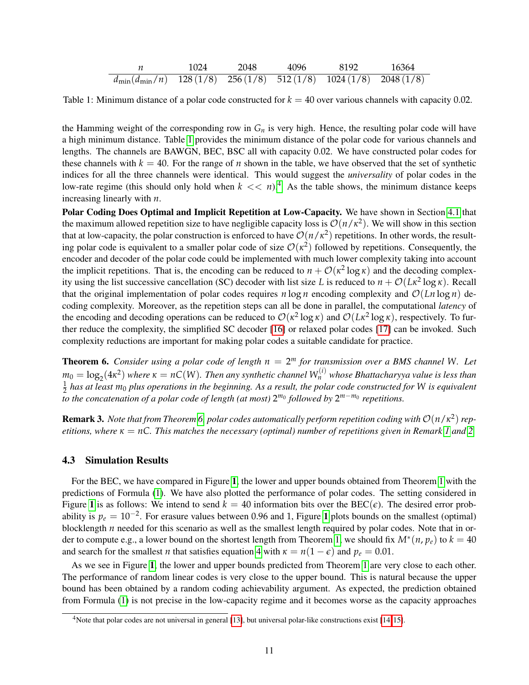|                                                                                               | 1024 | 2048 | 4096 | 8192 | - 16364 |
|-----------------------------------------------------------------------------------------------|------|------|------|------|---------|
| $\frac{d_{\text{min}}(d_{\text{min}}/n)}{128(1/8)}$ 256 (1/8) 512 (1/8) 1024 (1/8) 2048 (1/8) |      |      |      |      |         |

<span id="page-10-1"></span>Table 1: Minimum distance of a polar code constructed for *k* = 40 over various channels with capacity 0.02.

the Hamming weight of the corresponding row in  $G_n$  is very high. Hence, the resulting polar code will have a high minimum distance. Table [1](#page-10-1) provides the minimum distance of the polar code for various channels and lengths. The channels are BAWGN, BEC, BSC all with capacity 0.02. We have constructed polar codes for these channels with  $k = 40$ . For the range of *n* shown in the table, we have observed that the set of synthetic indices for all the three channels were identical. This would suggest the *universality* of polar codes in the low-rate regime (this should only hold when  $k \ll n$ ).<sup>[4](#page-10-2)</sup> As the table shows, the minimum distance keeps increasing linearly with *n*.

Polar Coding Does Optimal and Implicit Repetition at Low-Capacity. We have shown in Section [4.1](#page-7-1) that the maximum allowed repetition size to have negligible capacity loss is  $\mathcal{O}(n/\kappa^2)$ . We will show in this section that at low-capacity, the polar construction is enforced to have  $O(n/\kappa^2)$  repetitions. In other words, the resulting polar code is equivalent to a smaller polar code of size  $\mathcal{O}(\kappa^2)$  followed by repetitions. Consequently, the encoder and decoder of the polar code could be implemented with much lower complexity taking into account the implicit repetitions. That is, the encoding can be reduced to  $n + \mathcal{O}(\kappa^2 \log \kappa)$  and the decoding complexity using the list successive cancellation (SC) decoder with list size *L* is reduced to  $n + \mathcal{O}(L\kappa^2 \log \kappa)$ . Recall that the original implementation of polar codes requires *n* log *n* encoding complexity and  $\mathcal{O}(Ln \log n)$  decoding complexity. Moreover, as the repetition steps can all be done in parallel, the computational *latency* of the encoding and decoding operations can be reduced to  $\mathcal{O}(\kappa^2 \log \kappa)$  and  $\mathcal{O}(L\kappa^2 \log \kappa)$ , respectively. To further reduce the complexity, the simplified SC decoder [\[16\]](#page-35-7) or relaxed polar codes [\[17\]](#page-35-8) can be invoked. Such complexity reductions are important for making polar codes a suitable candidate for practice.

<span id="page-10-3"></span>Theorem 6. *Consider using a polar code of length n* = 2 *<sup>m</sup> for transmission over a BMS channel W. Let*  $m_0 = \log_2(4\kappa^2)$  where  $\kappa = nC(W)$ . Then any synthetic channel  $W_n^{(i)}$  whose Bhattacharyya value is less than 1  $\frac{1}{2}$  has at least m<sub>0</sub> plus operations in the beginning. As a result, the polar code constructed for W is equivalent *to the concatenation of a polar code of length (at most)* 2<sup>*m*0</sup> followed by 2<sup>*m*−*m*0</sup> *repetitions.* 

 $R$ emark 3. *Note that from Theorem [6,](#page-10-3) polar codes automatically perform repetition coding with*  $\mathcal{O}(n/\kappa^2)$  *repetitions, where*  $\kappa = nC$ *. This matches the necessary (optimal) number of repetitions given in Remark [1](#page-8-3) and [2.](#page-8-4)* 

#### <span id="page-10-0"></span>4.3 Simulation Results

For the BEC, we have compared in Figure [1](#page-11-0), the lower and upper bounds obtained from Theorem [1](#page-4-0) with the predictions of Formula [\(1\)](#page-3-1). We have also plotted the performance of polar codes. The setting considered in Figure [1](#page-11-0) is as follows: We intend to send  $k = 40$  information bits over the BEC( $\epsilon$ ). The desired error probability is  $p_e = 10^{-2}$  $p_e = 10^{-2}$  $p_e = 10^{-2}$ . For erasure values between 0.96 and 1, Figure 1 plots bounds on the smallest (optimal) blocklength *n* needed for this scenario as well as the smallest length required by polar codes. Note that in or-der to compute e.g., a lower bound on the shortest length from Theorem [1,](#page-4-0) we should fix  $M^*(n, p_e)$  to  $k = 40$ and search for the smallest *n* that satisfies equation [4](#page-5-0) with  $\kappa = n(1 - \epsilon)$  and  $p_e = 0.01$ .

As we see in Figure [1](#page-11-0), the lower and upper bounds predicted from Theorem [1](#page-4-0) are very close to each other. The performance of random linear codes is very close to the upper bound. This is natural because the upper bound has been obtained by a random coding achievability argument. As expected, the prediction obtained from Formula [\(1\)](#page-3-1) is not precise in the low-capacity regime and it becomes worse as the capacity approaches

<span id="page-10-2"></span><sup>4</sup>Note that polar codes are not universal in general [\[13\]](#page-35-9), but universal polar-like constructions exist [\[14,](#page-35-10) [15\]](#page-35-11).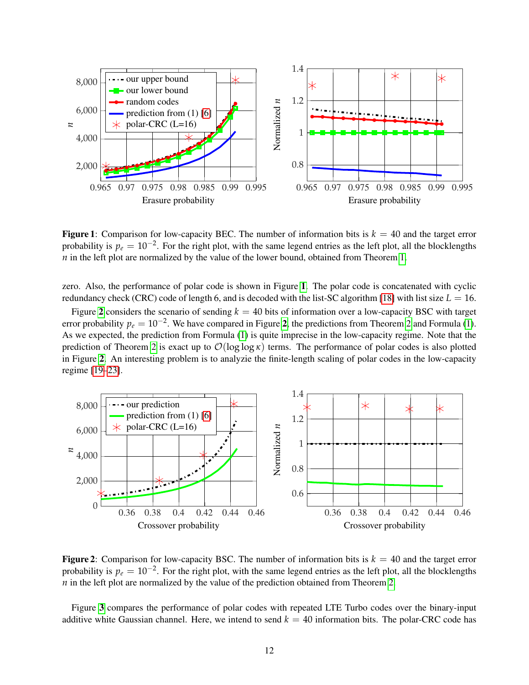<span id="page-11-0"></span>

**Figure 1:** Comparison for low-capacity BEC. The number of information bits is  $k = 40$  and the target error probability is  $p_e = 10^{-2}$ . For the right plot, with the same legend entries as the left plot, all the blocklengths *n* in the left plot are normalized by the value of the lower bound, obtained from Theorem [1.](#page-4-0)

zero. Also, the performance of polar code is shown in Figure [1](#page-11-0). The polar code is concatenated with cyclic redundancy check (CRC) code of length 6, and is decoded with the list-SC algorithm [\[18\]](#page-35-12) with list size  $L = 16$ .

Figure [2](#page-11-1) considers the scenario of sending  $k = 40$  bits of information over a low-capacity BSC with target error probability  $p_e = 10^{-2}$  $p_e = 10^{-2}$  $p_e = 10^{-2}$ . We have compared in Figure [2](#page-6-2), the predictions from Theorem 2 and Formula [\(1\)](#page-3-1). As we expected, the prediction from Formula [\(1\)](#page-3-1) is quite imprecise in the low-capacity regime. Note that the prediction of Theorem [2](#page-6-2) is exact up to O(log log *κ*) terms. The performance of polar codes is also plotted in Figure [2](#page-11-1). An interesting problem is to analyzie the finite-length scaling of polar codes in the low-capacity regime [\[19](#page-35-13)[–23\]](#page-36-0).

<span id="page-11-1"></span>

**Figure 2:** Comparison for low-capacity BSC. The number of information bits is  $k = 40$  and the target error probability is  $p_e = 10^{-2}$ . For the right plot, with the same legend entries as the left plot, all the blocklengths *n* in the left plot are normalized by the value of the prediction obtained from Theorem [2.](#page-6-2)

Figure [3](#page-12-1) compares the performance of polar codes with repeated LTE Turbo codes over the binary-input additive white Gaussian channel. Here, we intend to send  $k = 40$  information bits. The polar-CRC code has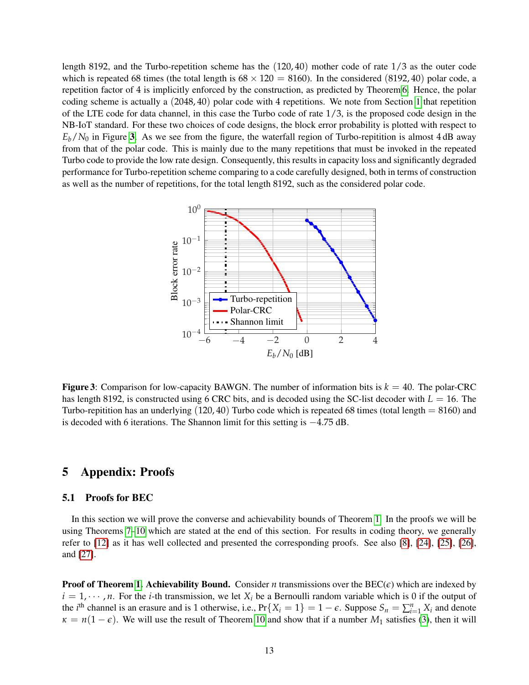length 8192, and the Turbo-repetition scheme has the (120, 40) mother code of rate 1/3 as the outer code which is repeated 68 times (the total length is  $68 \times 120 = 8160$ ). In the considered (8192, 40) polar code, a repetition factor of 4 is implicitly enforced by the construction, as predicted by Theorem [6.](#page-10-3) Hence, the polar coding scheme is actually a (2048, 40) polar code with 4 repetitions. We note from Section [1](#page-0-0) that repetition of the LTE code for data channel, in this case the Turbo code of rate  $1/3$ , is the proposed code design in the NB-IoT standard. For these two choices of code designs, the block error probability is plotted with respect to  $E_b/N_0$  in Figure [3](#page-12-1). As we see from the figure, the waterfall region of Turbo-repitition is almost 4 dB away from that of the polar code. This is mainly due to the many repetitions that must be invoked in the repeated Turbo code to provide the low rate design. Consequently, this results in capacity loss and significantly degraded performance for Turbo-repetition scheme comparing to a code carefully designed, both in terms of construction as well as the number of repetitions, for the total length 8192, such as the considered polar code.

<span id="page-12-1"></span>

**Figure 3:** Comparison for low-capacity BAWGN. The number of information bits is  $k = 40$ . The polar-CRC has length 8192, is constructed using 6 CRC bits, and is decoded using the SC-list decoder with  $L = 16$ . The Turbo-repitition has an underlying  $(120, 40)$  Turbo code which is repeated 68 times (total length  $= 8160$ ) and is decoded with 6 iterations. The Shannon limit for this setting is −4.75 dB.

# 5 Appendix: Proofs

#### <span id="page-12-0"></span>5.1 Proofs for BEC

In this section we will prove the converse and achievability bounds of Theorem [1.](#page-4-0) In the proofs we will be using Theorems [7–](#page-17-0)[10](#page-18-1) which are stated at the end of this section. For results in coding theory, we generally refer to [\[12\]](#page-35-6) as it has well collected and presented the corresponding proofs. See also [\[8\]](#page-35-2), [\[24\]](#page-36-1), [\[25\]](#page-36-2), [\[26\]](#page-36-3), and [\[27\]](#page-36-4).

**Proof of Theorem [1.](#page-4-0) Achievability Bound.** Consider *n* transmissions over the BEC( $\epsilon$ ) which are indexed by  $i = 1, \dots, n$ . For the *i*-th transmission, we let  $X_i$  be a Bernoulli random variable which is 0 if the output of the *i*<sup>th</sup> channel is an erasure and is 1 otherwise, i.e.,  $Pr{X_i = 1} = 1 - \epsilon$ . Suppose  $S_n = \sum_{i=1}^n X_i$  and denote  $\kappa = n(1 - \epsilon)$ . We will use the result of Theorem [10](#page-18-1) and show that if a number *M*<sub>1</sub> satisfies [\(3\)](#page-5-1), then it will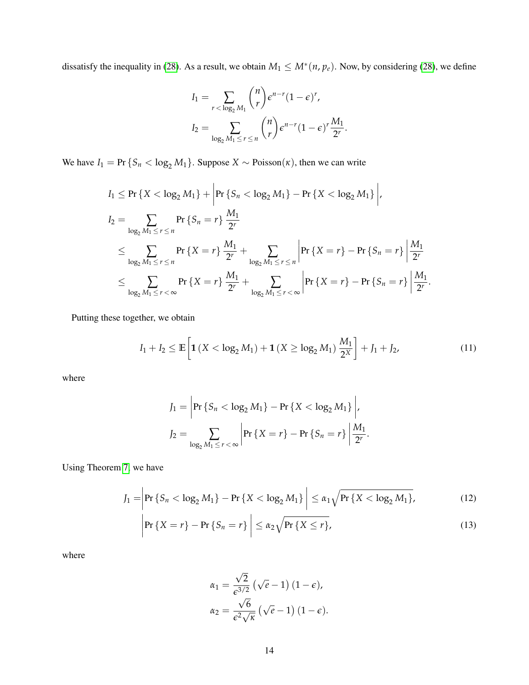dissatisfy the inequality in [\(28\)](#page-18-2). As a result, we obtain  $M_1 \leq M^*(n, p_e)$ . Now, by considering (28), we define

$$
I_1 = \sum_{r < \log_2 M_1} \binom{n}{r} \epsilon^{n-r} (1-\epsilon)^r,
$$
\n
$$
I_2 = \sum_{\log_2 M_1 \le r \le n} \binom{n}{r} \epsilon^{n-r} (1-\epsilon)^r \frac{M_1}{2^r}.
$$

We have  $I_1 = \Pr \{ S_n < \log_2 M_1 \}$ . Suppose  $X \sim \text{Poisson}(\kappa)$ , then we can write

$$
I_1 \leq \Pr \{ X < \log_2 M_1 \} + \left| \Pr \{ S_n < \log_2 M_1 \} - \Pr \{ X < \log_2 M_1 \} \right|,
$$
  
\n
$$
I_2 = \sum_{\log_2 M_1 \leq r \leq n} \Pr \{ S_n = r \} \frac{M_1}{2^r}
$$
  
\n
$$
\leq \sum_{\log_2 M_1 \leq r \leq n} \Pr \{ X = r \} \frac{M_1}{2^r} + \sum_{\log_2 M_1 \leq r \leq n} \left| \Pr \{ X = r \} - \Pr \{ S_n = r \} \right| \frac{M_1}{2^r}
$$
  
\n
$$
\leq \sum_{\log_2 M_1 \leq r < \infty} \Pr \{ X = r \} \frac{M_1}{2^r} + \sum_{\log_2 M_1 \leq r < \infty} \left| \Pr \{ X = r \} - \Pr \{ S_n = r \} \right| \frac{M_1}{2^r}.
$$

Putting these together, we obtain

$$
I_1 + I_2 \le \mathbb{E}\left[\mathbf{1}\left(X < \log_2 M_1\right) + \mathbf{1}\left(X \ge \log_2 M_1\right) \frac{M_1}{2^X}\right] + J_1 + J_2,\tag{11}
$$

where

<span id="page-13-1"></span>
$$
J_1 = \left| \Pr \left\{ S_n < \log_2 M_1 \right\} - \Pr \left\{ X < \log_2 M_1 \right\} \right|,
$$
\n
$$
J_2 = \sum_{\log_2 M_1 \le r < \infty} \left| \Pr \left\{ X = r \right\} - \Pr \left\{ S_n = r \right\} \right| \frac{M_1}{2^r}.
$$

Using Theorem [7,](#page-17-0) we have

$$
J_1 = \left| \Pr \left\{ S_n < \log_2 M_1 \right\} - \Pr \left\{ X < \log_2 M_1 \right\} \right| \le \alpha_1 \sqrt{\Pr \left\{ X < \log_2 M_1 \right\}},\tag{12}
$$

$$
\left|\Pr\left\{X=r\right\}-\Pr\left\{S_n=r\right\}\right| \leq \alpha_2 \sqrt{\Pr\left\{X\leq r\right\}},\tag{13}
$$

where

<span id="page-13-2"></span><span id="page-13-0"></span>
$$
\alpha_1 = \frac{\sqrt{2}}{\epsilon^{3/2}} \left( \sqrt{e} - 1 \right) (1 - \epsilon),
$$
  

$$
\alpha_2 = \frac{\sqrt{6}}{\epsilon^2 \sqrt{\kappa}} \left( \sqrt{e} - 1 \right) (1 - \epsilon).
$$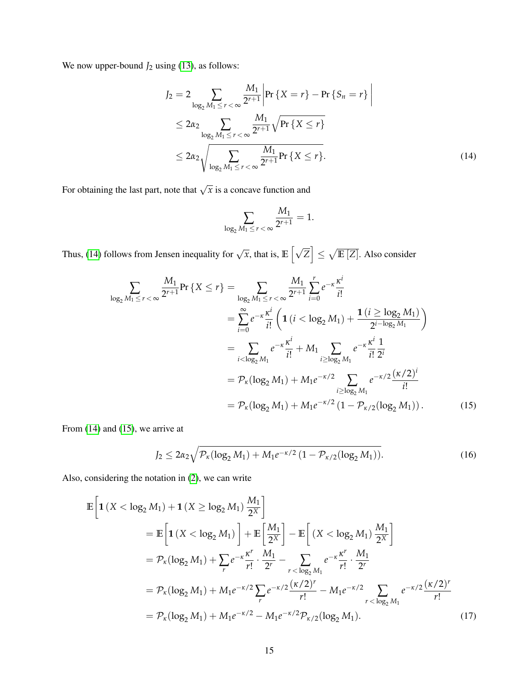We now upper-bound  $J_2$  using [\(13\)](#page-13-0), as follows:

$$
J_2 = 2 \sum_{\log_2 M_1 \le r < \infty} \frac{M_1}{2^{r+1}} \left| \Pr \{ X = r \} - \Pr \{ S_n = r \} \right|
$$
\n
$$
\le 2\alpha_2 \sum_{\log_2 M_1 \le r < \infty} \frac{M_1}{2^{r+1}} \sqrt{\Pr \{ X \le r \}}
$$
\n
$$
\le 2\alpha_2 \sqrt{\sum_{\log_2 M_1 \le r < \infty} \frac{M_1}{2^{r+1}} \Pr \{ X \le r \}}.
$$
\n(14)

For obtaining the last part, note that  $\sqrt{x}$  is a concave function and

<span id="page-14-1"></span><span id="page-14-0"></span>
$$
\sum_{\log_2 M_1 \leq r < \infty} \frac{M_1}{2^{r+1}} = 1.
$$

Thus, [\(14\)](#page-14-0) follows from Jensen inequality for  $\sqrt{x}$ , that is,  $\mathbb{E}[\sqrt{Z}] \leq \sqrt{\mathbb{E}[Z]}$ . Also consider

$$
\sum_{\log_2 M_1 \le r < \infty} \frac{M_1}{2^{r+1}} \Pr\left\{X \le r\right\} = \sum_{\log_2 M_1 \le r < \infty} \frac{M_1}{2^{r+1}} \sum_{i=0}^r e^{-\kappa} \frac{\kappa^i}{i!} \\
= \sum_{i=0}^\infty e^{-\kappa} \frac{\kappa^i}{i!} \left( \mathbf{1}\left(i < \log_2 M_1\right) + \frac{\mathbf{1}\left(i \ge \log_2 M_1\right)}{2^{i-\log_2 M_1}} \right) \\
= \sum_{i < \log_2 M_1} e^{-\kappa} \frac{\kappa^i}{i!} + M_1 \sum_{i \ge \log_2 M_1} e^{-\kappa} \frac{\kappa^i}{i!} \frac{1}{2^i} \\
= \mathcal{P}_{\kappa}(\log_2 M_1) + M_1 e^{-\kappa/2} \sum_{i \ge \log_2 M_1} e^{-\kappa/2} \frac{(\kappa/2)^i}{i!} \\
= \mathcal{P}_{\kappa}(\log_2 M_1) + M_1 e^{-\kappa/2} \left(1 - \mathcal{P}_{\kappa/2}(\log_2 M_1)\right). \tag{15}
$$

From [\(14\)](#page-14-0) and [\(15\)](#page-14-1), we arrive at

<span id="page-14-3"></span><span id="page-14-2"></span>
$$
J_2 \le 2\alpha_2 \sqrt{\mathcal{P}_{\kappa}(\log_2 M_1) + M_1 e^{-\kappa/2} \left(1 - \mathcal{P}_{\kappa/2}(\log_2 M_1)\right)}.
$$
 (16)

Also, considering the notation in [\(2\)](#page-4-1), we can write

$$
\mathbb{E}\left[\mathbf{1}\left(X<\log_{2}M_{1}\right)+\mathbf{1}\left(X\geq\log_{2}M_{1}\right)\frac{M_{1}}{2^{X}}\right]
$$
\n
$$
=\mathbb{E}\left[\mathbf{1}\left(X<\log_{2}M_{1}\right)\right]+\mathbb{E}\left[\frac{M_{1}}{2^{X}}\right]-\mathbb{E}\left[\left(X<\log_{2}M_{1}\right)\frac{M_{1}}{2^{X}}\right]
$$
\n
$$
=\mathcal{P}_{\kappa}(\log_{2}M_{1})+\sum_{r}e^{-\kappa}\frac{\kappa^{r}}{r!}\cdot\frac{M_{1}}{2^{r}}-\sum_{r<\log_{2}M_{1}}e^{-\kappa}\frac{\kappa^{r}}{r!}\cdot\frac{M_{1}}{2^{r}}
$$
\n
$$
=\mathcal{P}_{\kappa}(\log_{2}M_{1})+M_{1}e^{-\kappa/2}\sum_{r}e^{-\kappa/2}\frac{(\kappa/2)^{r}}{r!}-M_{1}e^{-\kappa/2}\sum_{r<\log_{2}M_{1}}e^{-\kappa/2}\frac{(\kappa/2)^{r}}{r!}
$$
\n
$$
=\mathcal{P}_{\kappa}(\log_{2}M_{1})+M_{1}e^{-\kappa/2}-M_{1}e^{-\kappa/2}\mathcal{P}_{\kappa/2}(\log_{2}M_{1}).\tag{17}
$$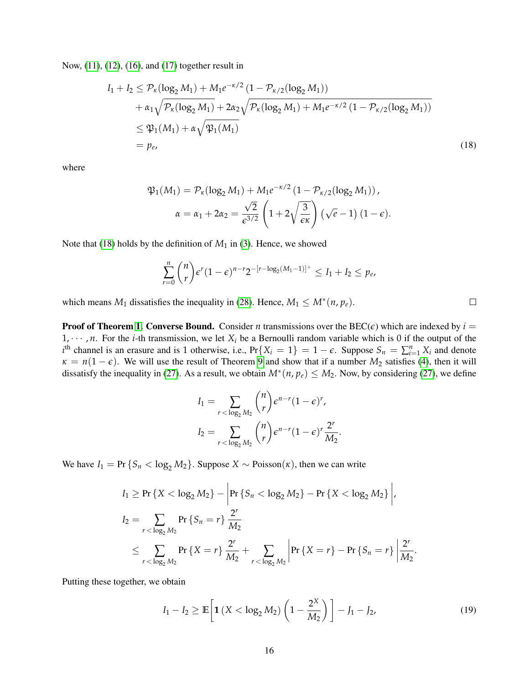Now, [\(11\)](#page-13-1), [\(12\)](#page-13-2), [\(16\)](#page-14-2), and [\(17\)](#page-14-3) together result in

$$
I_1 + I_2 \leq \mathcal{P}_{\kappa}(\log_2 M_1) + M_1 e^{-\kappa/2} (1 - \mathcal{P}_{\kappa/2}(\log_2 M_1))
$$
  
+  $\alpha_1 \sqrt{\mathcal{P}_{\kappa}(\log_2 M_1)} + 2\alpha_2 \sqrt{\mathcal{P}_{\kappa}(\log_2 M_1) + M_1 e^{-\kappa/2} (1 - \mathcal{P}_{\kappa/2}(\log_2 M_1))}$   
 $\leq \mathfrak{P}_{1}(M_1) + \alpha \sqrt{\mathfrak{P}_{1}(M_1)}$   
=  $p_e,$  (18)

where

<span id="page-15-0"></span>
$$
\mathfrak{P}_1(M_1) = \mathcal{P}_\kappa(\log_2 M_1) + M_1 e^{-\kappa/2} \left(1 - \mathcal{P}_{\kappa/2}(\log_2 M_1)\right),
$$
  

$$
\alpha = \alpha_1 + 2\alpha_2 = \frac{\sqrt{2}}{\epsilon^{3/2}} \left(1 + 2\sqrt{\frac{3}{\epsilon \kappa}}\right) \left(\sqrt{e} - 1\right) (1 - \epsilon).
$$

Note that [\(18\)](#page-15-0) holds by the definition of  $M_1$  in [\(3\)](#page-5-1). Hence, we showed

$$
\sum_{r=0}^n \binom{n}{r} \epsilon^r (1-\epsilon)^{n-r} 2^{-[r-\log_2(M_1-1)]^+} \leq I_1 + I_2 \leq p_e,
$$

which means  $M_1$  dissatisfies the inequality in [\(28\)](#page-18-2). Hence,  $M_1 \leq M^*(n, p_e)$ .

**Proof of Theorem [1.](#page-4-0) Converse Bound.** Consider *n* transmissions over the BEC( $\epsilon$ ) which are indexed by  $i =$  $1, \dots, n$ . For the *i*-th transmission, we let  $X_i$  be a Bernoulli random variable which is 0 if the output of the  $i^{\text{th}}$  channel is an erasure and is 1 otherwise, i.e.,  $Pr\{X_i = 1\} = 1 - \epsilon$ . Suppose  $S_n = \sum_{i=1}^n X_i$  and denote  $\kappa = n(1 - \epsilon)$ . We will use the result of Theorem [9](#page-18-3) and show that if a number *M*<sub>2</sub> satisfies [\(4\)](#page-5-0), then it will dissatisfy the inequality in [\(27\)](#page-18-4). As a result, we obtain  $M^*(n, p_e) \leq M_2$ . Now, by considering (27), we define

$$
I_1 = \sum_{r < \log_2 M_2} \binom{n}{r} \epsilon^{n-r} (1-\epsilon)^r,
$$
\n
$$
I_2 = \sum_{r < \log_2 M_2} \binom{n}{r} \epsilon^{n-r} (1-\epsilon)^r \frac{2^r}{M_2}
$$

We have  $I_1 = \Pr \{ S_n < \log_2 M_2 \}$ . Suppose  $X \sim \text{Poisson}(\kappa)$ , then we can write

$$
I_1 \ge \Pr \{ X < \log_2 M_2 \} - \left| \Pr \{ S_n < \log_2 M_2 \} - \Pr \{ X < \log_2 M_2 \} \right|,
$$
  
\n
$$
I_2 = \sum_{r < \log_2 M_2} \Pr \{ S_n = r \} \frac{2^r}{M_2}
$$
  
\n
$$
\le \sum_{r < \log_2 M_2} \Pr \{ X = r \} \frac{2^r}{M_2} + \sum_{r < \log_2 M_2} \left| \Pr \{ X = r \} - \Pr \{ S_n = r \} \right| \frac{2^r}{M_2}
$$

Putting these together, we obtain

$$
I_1 - I_2 \ge \mathbb{E}\left[\mathbf{1}\left(X < \log_2 M_2\right)\left(1 - \frac{2^X}{M_2}\right)\right] - J_1 - J_2,\tag{19}
$$

.

<span id="page-15-1"></span>.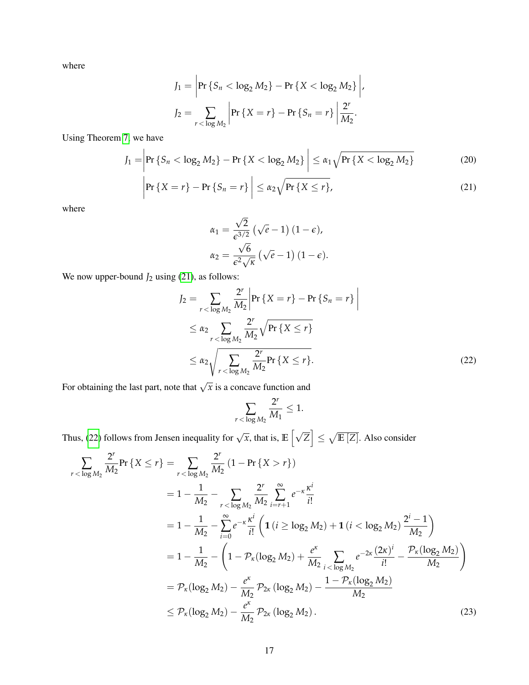where

$$
J_1 = \left| \Pr \left\{ S_n < \log_2 M_2 \right\} - \Pr \left\{ X < \log_2 M_2 \right\} \right|,
$$
\n
$$
J_2 = \sum_{r < \log M_2} \left| \Pr \left\{ X = r \right\} - \Pr \left\{ S_n = r \right\} \right| \frac{2^r}{M_2}.
$$

Using Theorem [7,](#page-17-0) we have

$$
J_1 = \left| \Pr \left\{ S_n < \log_2 M_2 \right\} - \Pr \left\{ X < \log_2 M_2 \right\} \right| \le \alpha_1 \sqrt{\Pr \left\{ X < \log_2 M_2 \right\}} \tag{20}
$$

$$
\left|\Pr\left\{X=r\right\}-\Pr\left\{S_n=r\right\}\right| \leq \alpha_2 \sqrt{\Pr\left\{X\leq r\right\}},\tag{21}
$$

where

<span id="page-16-3"></span><span id="page-16-0"></span>
$$
\alpha_1 = \frac{\sqrt{2}}{\epsilon^{3/2}} \left( \sqrt{e} - 1 \right) (1 - \epsilon),
$$
  

$$
\alpha_2 = \frac{\sqrt{6}}{\epsilon^2 \sqrt{\kappa}} \left( \sqrt{e} - 1 \right) (1 - \epsilon).
$$

We now upper-bound  $J_2$  using [\(21\)](#page-16-0), as follows:

$$
J_2 = \sum_{r < \log M_2} \frac{2^r}{M_2} \left| \Pr \{ X = r \} - \Pr \{ S_n = r \} \right|
$$
  
\n
$$
\leq \alpha_2 \sum_{r < \log M_2} \frac{2^r}{M_2} \sqrt{\Pr \{ X \leq r \}}
$$
  
\n
$$
\leq \alpha_2 \sqrt{\sum_{r < \log M_2} \frac{2^r}{M_2} \Pr \{ X \leq r \}}.
$$
\n(22)

For obtaining the last part, note that  $\sqrt{x}$  is a concave function and

<span id="page-16-2"></span><span id="page-16-1"></span>
$$
\sum_{r<\log M_2}\frac{2^r}{M_1}\le 1.
$$

Thus, [\(22\)](#page-16-1) follows from Jensen inequality for  $\sqrt{x}$ , that is,  $\mathbb{E} \left[ \sqrt{Z} \right] \leq \sqrt{\mathbb{E} \left[ Z \right]}$ . Also consider

$$
\sum_{r < \log M_2} \frac{2^r}{M_2} \Pr\left\{X \le r\right\} = \sum_{r < \log M_2} \frac{2^r}{M_2} \left(1 - \Pr\left\{X > r\right\}\right)
$$
\n
$$
= 1 - \frac{1}{M_2} - \sum_{r < \log M_2} \frac{2^r}{M_2} \sum_{i=r+1}^{\infty} e^{-\kappa} \frac{\kappa^i}{i!}
$$
\n
$$
= 1 - \frac{1}{M_2} - \sum_{i=0}^{\infty} e^{-\kappa} \frac{\kappa^i}{i!} \left(1 \left(i \ge \log_2 M_2\right) + 1 \left(i < \log_2 M_2\right) \frac{2^i - 1}{M_2}\right)
$$
\n
$$
= 1 - \frac{1}{M_2} - \left(1 - \mathcal{P}_{\kappa} (\log_2 M_2) + \frac{e^{\kappa}}{M_2} \sum_{i < \log M_2} e^{-2\kappa} \frac{(2\kappa)^i}{i!} - \frac{\mathcal{P}_{\kappa} (\log_2 M_2)}{M_2}\right)
$$
\n
$$
= \mathcal{P}_{\kappa} (\log_2 M_2) - \frac{e^{\kappa}}{M_2} \mathcal{P}_{2\kappa} (\log_2 M_2) - \frac{1 - \mathcal{P}_{\kappa} (\log_2 M_2)}{M_2}
$$
\n
$$
\le \mathcal{P}_{\kappa} (\log_2 M_2) - \frac{e^{\kappa}}{M_2} \mathcal{P}_{2\kappa} (\log_2 M_2).
$$
\n(23)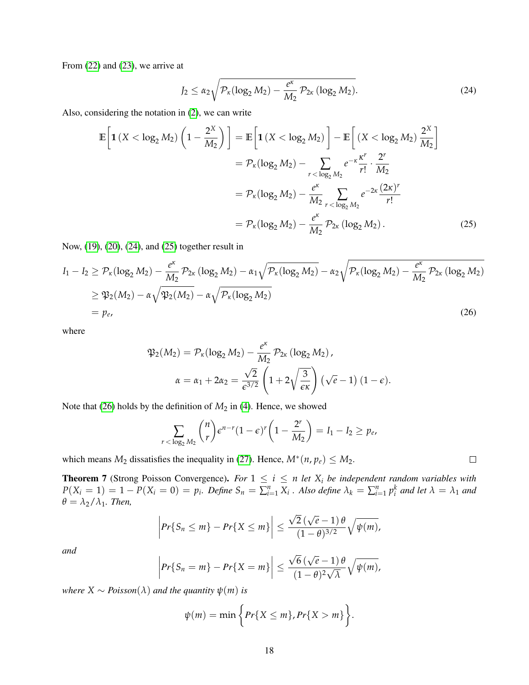From [\(22\)](#page-16-1) and [\(23\)](#page-16-2), we arrive at

<span id="page-17-1"></span>
$$
J_2 \le \alpha_2 \sqrt{\mathcal{P}_{\kappa}(\log_2 M_2) - \frac{e^{\kappa}}{M_2} \mathcal{P}_{2\kappa}(\log_2 M_2)}.
$$
 (24)

Also, considering the notation in [\(2\)](#page-4-1), we can write

$$
\mathbb{E}\left[\mathbf{1}\left(X < \log_2 M_2\right)\left(1 - \frac{2^X}{M_2}\right)\right] = \mathbb{E}\left[\mathbf{1}\left(X < \log_2 M_2\right)\right] - \mathbb{E}\left[\left(X < \log_2 M_2\right)\frac{2^X}{M_2}\right]
$$
\n
$$
= \mathcal{P}_\kappa(\log_2 M_2) - \sum_{r < \log_2 M_2} e^{-\kappa} \frac{\kappa^r}{r!} \cdot \frac{2^r}{M_2}
$$
\n
$$
= \mathcal{P}_\kappa(\log_2 M_2) - \frac{e^\kappa}{M_2} \sum_{r < \log_2 M_2} e^{-2\kappa} \frac{(2\kappa)^r}{r!}
$$
\n
$$
= \mathcal{P}_\kappa(\log_2 M_2) - \frac{e^\kappa}{M_2} \mathcal{P}_{2\kappa}(\log_2 M_2).
$$
\n(25)

Now, [\(19\)](#page-15-1), [\(20\)](#page-16-3), [\(24\)](#page-17-1), and [\(25\)](#page-17-2) together result in

$$
I_1 - I_2 \ge \mathcal{P}_{\kappa}(\log_2 M_2) - \frac{e^{\kappa}}{M_2} \mathcal{P}_{2\kappa} (\log_2 M_2) - \alpha_1 \sqrt{\mathcal{P}_{\kappa}(\log_2 M_2)} - \alpha_2 \sqrt{\mathcal{P}_{\kappa}(\log_2 M_2) - \frac{e^{\kappa}}{M_2} \mathcal{P}_{2\kappa} (\log_2 M_2)}
$$
  
\n
$$
\ge \mathfrak{P}_{2}(M_2) - \alpha \sqrt{\mathfrak{P}_{2}(M_2)} - \alpha \sqrt{\mathcal{P}_{\kappa}(\log_2 M_2)}
$$
  
\n
$$
= p_e,
$$
\n(26)

where

$$
\mathfrak{P}_2(M_2) = \mathcal{P}_\kappa(\log_2 M_2) - \frac{e^\kappa}{M_2} \mathcal{P}_{2\kappa} (\log_2 M_2),
$$

$$
\alpha = \alpha_1 + 2\alpha_2 = \frac{\sqrt{2}}{\epsilon^{3/2}} \left(1 + 2\sqrt{\frac{3}{\epsilon \kappa}}\right) (\sqrt{e} - 1) (1 - \epsilon).
$$

Note that [\(26\)](#page-17-3) holds by the definition of  $M_2$  in [\(4\)](#page-5-0). Hence, we showed

$$
\sum_{r<\log_2 M_2} \binom{n}{r} \epsilon^{n-r} (1-\epsilon)^r \left(1-\frac{2^r}{M_2}\right) = I_1 - I_2 \ge p_e,
$$

<span id="page-17-3"></span><span id="page-17-2"></span> $\Box$ 

which means  $M_2$  dissatisfies the inequality in [\(27\)](#page-18-4). Hence,  $M^*(n, p_e) \leq M_2$ .

<span id="page-17-0"></span>**Theorem 7** (Strong Poisson Convergence). For  $1 \leq i \leq n$  let  $X_i$  be independent random variables with  $P(X_i = 1) = 1 - P(X_i = 0) = p_i$ . Define  $S_n = \sum_{i=1}^n X_i$ . Also define  $\lambda_k = \sum_{i=1}^n p_i^k$  and let  $\lambda = \lambda_1$  and  $\theta = \lambda_2/\lambda_1$ *. Then,* 

$$
\left|\Pr\{S_n \leq m\} - \Pr\{X \leq m\}\right| \leq \frac{\sqrt{2}\left(\sqrt{e}-1\right)\theta}{(1-\theta)^{3/2}}\sqrt{\psi(m)},
$$

*and*

$$
\left|\Pr\{S_n = m\} - \Pr\{X = m\}\right| \le \frac{\sqrt{6}(\sqrt{e}-1)\theta}{(1-\theta)^2\sqrt{\lambda}}\sqrt{\psi(m)},
$$

*where*  $X \sim Poisson(\lambda)$  *and the quantity*  $\psi(m)$  *is* 

$$
\psi(m) = \min\bigg\{Pr\{X \leq m\}, Pr\{X > m\}\bigg\}.
$$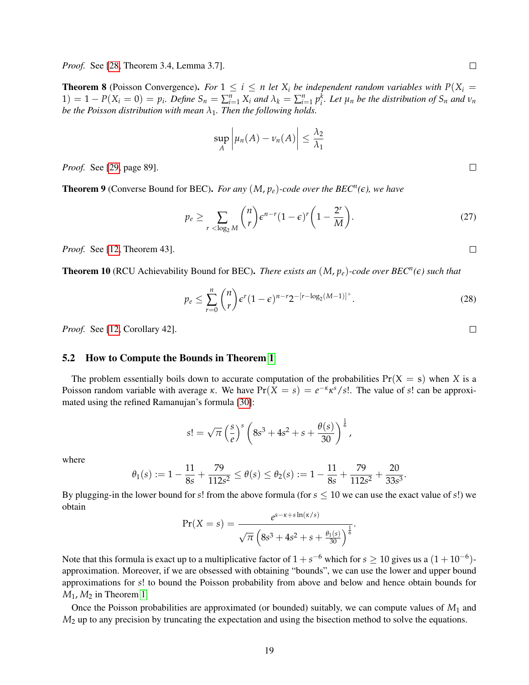**Theorem 8** (Poisson Convergence). *For*  $1 \leq i \leq n$  *let*  $X_i$  *be independent random variables with*  $P(X_i =$  $1) = 1 - P(X_i = 0) = p_i$ . Define  $S_n = \sum_{i=1}^n X_i$  and  $\lambda_k = \sum_{i=1}^n p_i^k$ . Let  $\mu_n$  be the distribution of  $S_n$  and  $\nu_n$ *be the Poisson distribution with mean*  $\lambda_1$ *. Then the following holds.* 

$$
\sup_{A} \left| \mu_n(A) - \nu_n(A) \right| \leq \frac{\lambda_2}{\lambda_1}
$$

*Proof.* See [\[29,](#page-36-6) page 89].

<span id="page-18-3"></span>**Theorem 9** (Converse Bound for BEC). *For any*  $(M, p_e)$ -code over the BEC<sup>*n*</sup>( $\epsilon$ ), we have

<span id="page-18-4"></span>
$$
p_e \ge \sum_{r < \log_2 M} \binom{n}{r} \epsilon^{n-r} (1-\epsilon)^r \left(1 - \frac{2^r}{M}\right). \tag{27}
$$

*Proof.* See [\[12,](#page-35-6) Theorem 43].

<span id="page-18-1"></span>**Theorem 10** (RCU Achievability Bound for BEC). *There exists an*  $(M, p_e)$ -code over BEC<sup>*n*</sup>( $\epsilon$ ) such that

<span id="page-18-2"></span>
$$
p_e \le \sum_{r=0}^n \binom{n}{r} \epsilon^r (1-\epsilon)^{n-r} 2^{-[r-\log_2(M-1)]^+}.
$$
 (28)

*Proof.* See [\[12,](#page-35-6) Corollary 42].

#### <span id="page-18-0"></span>5.2 How to Compute the Bounds in Theorem [1](#page-4-0)

The problem essentially boils down to accurate computation of the probabilities  $Pr(X = s)$  when *X* is a Poisson random variable with average *κ*. We have  $Pr(X = s) = e^{-\kappa} \kappa^{s}/s!$ . The value of *s*! can be approximated using the refined Ramanujan's formula [\[30\]](#page-36-7):

$$
s! = \sqrt{\pi} \left(\frac{s}{e}\right)^s \left(8s^3 + 4s^2 + s + \frac{\theta(s)}{30}\right)^{\frac{1}{6}},
$$

where

$$
\theta_1(s) := 1 - \frac{11}{8s} + \frac{79}{112s^2} \le \theta(s) \le \theta_2(s) := 1 - \frac{11}{8s} + \frac{79}{112s^2} + \frac{20}{33s^3}
$$

By plugging-in the lower bound for *s*! from the above formula (for  $s \leq 10$  we can use the exact value of *s*!) we obtain *s*−*κ*+*s*ln(*κ*/*s*)

$$
\Pr(X = s) = \frac{e^{s - \kappa + s \ln(\kappa/s)}}{\sqrt{\pi} \left(8s^3 + 4s^2 + s + \frac{\theta_1(s)}{30}\right)^{\frac{1}{6}}}.
$$

Note that this formula is exact up to a multiplicative factor of  $1 + s^{-6}$  which for  $s \ge 10$  gives us a  $(1 + 10^{-6})$ approximation. Moreover, if we are obsessed with obtaining "bounds", we can use the lower and upper bound approximations for *s*! to bound the Poisson probability from above and below and hence obtain bounds for  $M_1$ ,  $M_2$  in Theorem [1.](#page-4-0)

Once the Poisson probabilities are approximated (or bounded) suitably, we can compute values of *M*<sup>1</sup> and *M*<sup>2</sup> up to any precision by truncating the expectation and using the bisection method to solve the equations.

 $\Box$ 

 $\Box$ 

 $\Box$ 

 $\Box$ 

.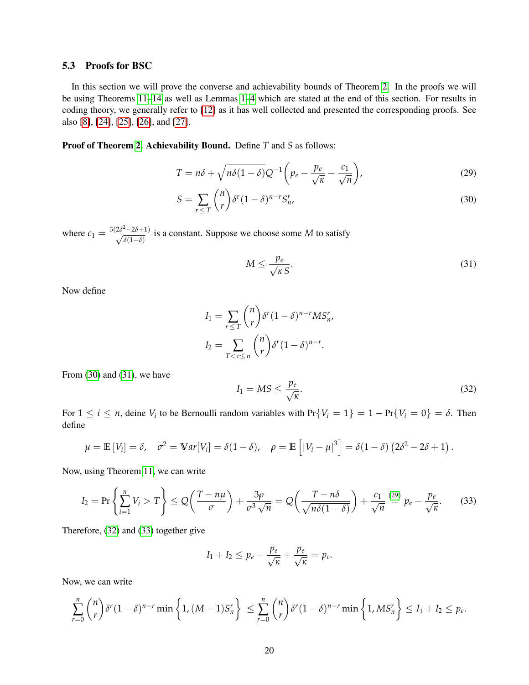#### <span id="page-19-0"></span>5.3 Proofs for BSC

In this section we will prove the converse and achievability bounds of Theorem [2.](#page-6-2) In the proofs we will be using Theorems [11](#page-24-0)[–14](#page-25-0) as well as Lemmas [1](#page-25-1)[–4](#page-28-1) which are stated at the end of this section. For results in coding theory, we generally refer to [\[12\]](#page-35-6) as it has well collected and presented the corresponding proofs. See also [\[8\]](#page-35-2), [\[24\]](#page-36-1), [\[25\]](#page-36-2), [\[26\]](#page-36-3), and [\[27\]](#page-36-4).

Proof of Theorem [2.](#page-6-2) Achievability Bound. Define *T* and *S* as follows:

$$
T = n\delta + \sqrt{n\delta(1-\delta)}Q^{-1}\left(p_e - \frac{p_e}{\sqrt{\kappa}} - \frac{c_1}{\sqrt{n}}\right),\tag{29}
$$

$$
S = \sum_{r \le T} \binom{n}{r} \delta^r (1 - \delta)^{n-r} S_{n'}^r \tag{30}
$$

where  $c_1 = \frac{3(2\delta^2 - 2\delta + 1)}{\sqrt{s(1-\delta)}}$  $\frac{5-20+1}{\delta(1-\delta)}$  is a constant. Suppose we choose some *M* to satisfy

<span id="page-19-3"></span><span id="page-19-2"></span><span id="page-19-1"></span>
$$
M \le \frac{p_e}{\sqrt{\kappa} S}.\tag{31}
$$

Now define

$$
I_1 = \sum_{r \le T} {n \choose r} \delta^r (1 - \delta)^{n-r} M S_n^r,
$$
  
\n
$$
I_2 = \sum_{T < r \le n} {n \choose r} \delta^r (1 - \delta)^{n-r}.
$$

From  $(30)$  and  $(31)$ , we have

<span id="page-19-4"></span>
$$
I_1 = MS \le \frac{p_e}{\sqrt{\kappa}}.\tag{32}
$$

For  $1 \le i \le n$ , deine  $V_i$  to be Bernoulli random variables with  $Pr\{V_i = 1\} = 1 - Pr\{V_i = 0\} = \delta$ . Then define

$$
\mu = \mathbb{E}[V_i] = \delta, \quad \sigma^2 = \mathbb{V}ar[V_i] = \delta(1-\delta), \quad \rho = \mathbb{E}\left[|V_i - \mu|^3\right] = \delta(1-\delta)\left(2\delta^2 - 2\delta + 1\right).
$$

Now, using Theorem [11,](#page-24-0) we can write

<span id="page-19-5"></span>
$$
I_2 = \Pr\left\{\sum_{i=1}^n V_i > T\right\} \le Q\left(\frac{T - n\mu}{\sigma}\right) + \frac{3\rho}{\sigma^3\sqrt{n}} = Q\left(\frac{T - n\delta}{\sqrt{n\delta(1 - \delta)}}\right) + \frac{c_1}{\sqrt{n}} \stackrel{(29)}{=} p_e - \frac{p_e}{\sqrt{\kappa}}.\tag{33}
$$

Therefore, [\(32\)](#page-19-4) and [\(33\)](#page-19-5) together give

$$
I_1 + I_2 \leq p_e - \frac{p_e}{\sqrt{\kappa}} + \frac{p_e}{\sqrt{\kappa}} = p_e.
$$

Now, we can write

$$
\sum_{r=0}^n \binom{n}{r} \delta^r (1-\delta)^{n-r} \min\left\{1, (M-1)S_n^r\right\} \leq \sum_{r=0}^n \binom{n}{r} \delta^r (1-\delta)^{n-r} \min\left\{1, MS_n^r\right\} \leq I_1 + I_2 \leq p_e.
$$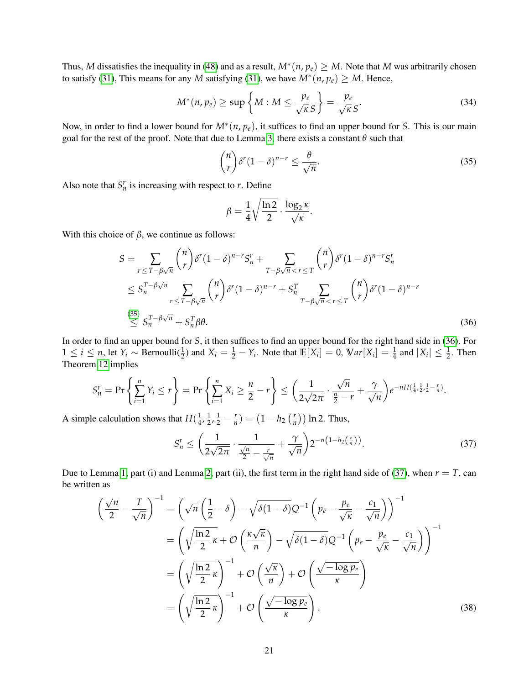Thus, M dissatisfies the inequality in [\(48\)](#page-24-1) and as a result,  $M^*(n, p_e) \geq M$ . Note that M was arbitrarily chosen to satisfy [\(31\)](#page-19-2), This means for any *M* satisfying (31), we have  $M^*(n, p_e) \geq M$ . Hence,

<span id="page-20-4"></span>
$$
M^*(n, p_e) \ge \sup \left\{ M : M \le \frac{p_e}{\sqrt{\kappa} S} \right\} = \frac{p_e}{\sqrt{\kappa} S}.
$$
 (34)

Now, in order to find a lower bound for *M*<sup>∗</sup> (*n*, *pe*), it suffices to find an upper bound for *S*. This is our main goal for the rest of the proof. Note that due to Lemma [3,](#page-27-0) there exists a constant *θ* such that

<span id="page-20-0"></span>
$$
\binom{n}{r} \delta^r (1-\delta)^{n-r} \le \frac{\theta}{\sqrt{n}}.\tag{35}
$$

Also note that  $S_n^r$  is increasing with respect to *r*. Define

<span id="page-20-1"></span>
$$
\beta = \frac{1}{4} \sqrt{\frac{\ln 2}{2}} \cdot \frac{\log_2 \kappa}{\sqrt{\kappa}}.
$$

With this choice of  $\beta$ , we continue as follows:

$$
S = \sum_{r \le T - \beta\sqrt{n}} {n \choose r} \delta^r (1 - \delta)^{n-r} S_n^r + \sum_{T - \beta\sqrt{n} < r \le T} {n \choose r} \delta^r (1 - \delta)^{n-r} S_n^r
$$
\n
$$
\le S_n^{T - \beta\sqrt{n}} \sum_{r \le T - \beta\sqrt{n}} {n \choose r} \delta^r (1 - \delta)^{n-r} + S_n^T \sum_{T - \beta\sqrt{n} < r \le T} {n \choose r} \delta^r (1 - \delta)^{n-r}
$$
\n
$$
\le S_n^{T - \beta\sqrt{n}} + S_n^T \beta \theta. \tag{36}
$$

In order to find an upper bound for *S*, it then suffices to find an upper bound for the right hand side in [\(36\)](#page-20-1). For  $1 \le i \le n$ , let  $Y_i \sim \text{Bernoulli}(\frac{1}{2})$  and  $X_i = \frac{1}{2} - Y_i$ . Note that  $\mathbb{E}[X_i] = 0$ ,  $\mathbb{V}ar[X_i] = \frac{1}{4}$  and  $|X_i| \le \frac{1}{2}$ . Then Theorem [12](#page-24-2) implies

$$
S_n^r = \Pr\left\{\sum_{i=1}^n Y_i \le r\right\} = \Pr\left\{\sum_{i=1}^n X_i \ge \frac{n}{2} - r\right\} \le \left(\frac{1}{2\sqrt{2\pi}} \cdot \frac{\sqrt{n}}{\frac{n}{2} - r} + \frac{\gamma}{\sqrt{n}}\right) e^{-nH\left(\frac{1}{4}, \frac{1}{2}, \frac{1}{2} - \frac{r}{n}\right)}.
$$

A simple calculation shows that  $H(\frac{1}{4})$  $\frac{1}{4}$ ,  $\frac{1}{2}$  $(\frac{1}{2}, \frac{1}{2} - \frac{r}{n}) = (1 - h_2) (\frac{r}{n})$  $\left(\frac{r}{n}\right)$ ) ln 2. Thus,

<span id="page-20-3"></span><span id="page-20-2"></span>
$$
S_n^r \le \left(\frac{1}{2\sqrt{2\pi}} \cdot \frac{1}{\frac{\sqrt{n}}{2} - \frac{r}{\sqrt{n}}} + \frac{\gamma}{\sqrt{n}}\right) 2^{-n\left(1 - h_2\left(\frac{r}{n}\right)\right)}.
$$
\n(37)

Due to Lemma [1,](#page-25-1) part (i) and Lemma [2,](#page-26-0) part (ii), the first term in the right hand side of [\(37\)](#page-20-2), when  $r = T$ , can be written as

$$
\left(\frac{\sqrt{n}}{2} - \frac{T}{\sqrt{n}}\right)^{-1} = \left(\sqrt{n}\left(\frac{1}{2} - \delta\right) - \sqrt{\delta(1 - \delta)}Q^{-1}\left(p_e - \frac{p_e}{\sqrt{\kappa}} - \frac{c_1}{\sqrt{n}}\right)\right)^{-1}
$$

$$
= \left(\sqrt{\frac{\ln 2}{2}\kappa} + \mathcal{O}\left(\frac{\kappa\sqrt{\kappa}}{n}\right) - \sqrt{\delta(1 - \delta)}Q^{-1}\left(p_e - \frac{p_e}{\sqrt{\kappa}} - \frac{c_1}{\sqrt{n}}\right)\right)^{-1}
$$

$$
= \left(\sqrt{\frac{\ln 2}{2}\kappa}\right)^{-1} + \mathcal{O}\left(\frac{\sqrt{\kappa}}{n}\right) + \mathcal{O}\left(\frac{\sqrt{-\log p_e}}{\kappa}\right)
$$

$$
= \left(\sqrt{\frac{\ln 2}{2}\kappa}\right)^{-1} + \mathcal{O}\left(\frac{\sqrt{-\log p_e}}{\kappa}\right).
$$
(38)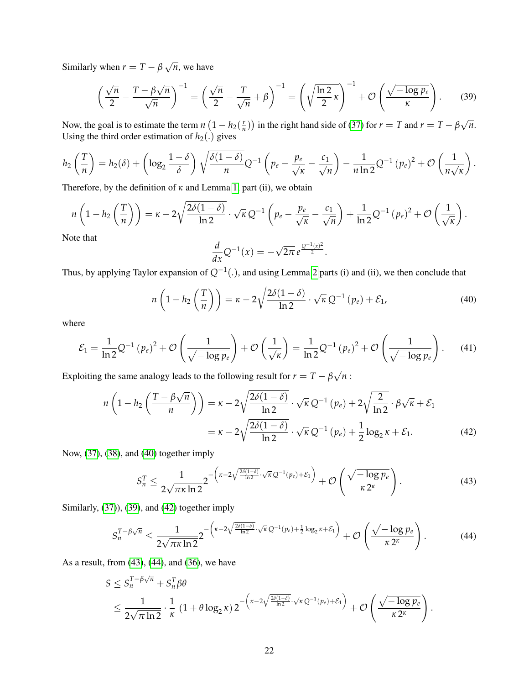Similarly when  $r = T - \beta$ √ *n*, we have

$$
\left(\frac{\sqrt{n}}{2} - \frac{T - \beta\sqrt{n}}{\sqrt{n}}\right)^{-1} = \left(\frac{\sqrt{n}}{2} - \frac{T}{\sqrt{n}} + \beta\right)^{-1} = \left(\sqrt{\frac{\ln 2}{2} \kappa}\right)^{-1} + \mathcal{O}\left(\frac{\sqrt{-\log p_e}}{\kappa}\right). \tag{39}
$$

Now, the goal is to estimate the term  $n(1 - h_2)$  $\left(\frac{r}{n}\right)$ ) in the right hand side of [\(37\)](#page-20-2) for  $r = T$  and  $r = T - \beta$ *n*. Using the third order estimation of  $h_2(.)$  gives

$$
h_2\left(\frac{T}{n}\right) = h_2(\delta) + \left(\log_2\frac{1-\delta}{\delta}\right)\sqrt{\frac{\delta(1-\delta)}{n}}Q^{-1}\left(p_e - \frac{p_e}{\sqrt{\kappa}} - \frac{c_1}{\sqrt{n}}\right) - \frac{1}{n\ln 2}Q^{-1}(p_e)^2 + \mathcal{O}\left(\frac{1}{n\sqrt{\kappa}}\right).
$$

Therefore, by the definition of *κ* and Lemma [1,](#page-25-1) part (ii), we obtain

$$
n\left(1-h_2\left(\frac{T}{n}\right)\right)=\kappa-2\sqrt{\frac{2\delta(1-\delta)}{\ln 2}}\cdot\sqrt{\kappa}Q^{-1}\left(p_e-\frac{p_e}{\sqrt{\kappa}}-\frac{c_1}{\sqrt{n}}\right)+\frac{1}{\ln 2}Q^{-1}\left(p_e\right)^2+\mathcal{O}\left(\frac{1}{\sqrt{\kappa}}\right).
$$

Note that

<span id="page-21-2"></span><span id="page-21-1"></span><span id="page-21-0"></span>
$$
\frac{d}{dx}Q^{-1}(x)=-\sqrt{2\pi}e^{\frac{Q^{-1}(x)^2}{2}}.
$$

Thus, by applying Taylor expansion of *Q*−<sup>1</sup> (.), and using Lemma [2](#page-26-0) parts (i) and (ii), we then conclude that

$$
n\left(1-h_2\left(\frac{T}{n}\right)\right)=\kappa-2\sqrt{\frac{2\delta(1-\delta)}{\ln 2}}\cdot\sqrt{\kappa}\,Q^{-1}\left(p_e\right)+\mathcal{E}_1,\tag{40}
$$

where

<span id="page-21-5"></span>
$$
\mathcal{E}_1 = \frac{1}{\ln 2} Q^{-1} (p_e)^2 + \mathcal{O}\left(\frac{1}{\sqrt{-\log p_e}}\right) + \mathcal{O}\left(\frac{1}{\sqrt{\kappa}}\right) = \frac{1}{\ln 2} Q^{-1} (p_e)^2 + \mathcal{O}\left(\frac{1}{\sqrt{-\log p_e}}\right). \tag{41}
$$

Exploiting the same analogy leads to the following result for  $r = T - \beta$ *n* :

$$
n\left(1 - h_2\left(\frac{T - \beta\sqrt{n}}{n}\right)\right) = \kappa - 2\sqrt{\frac{2\delta(1 - \delta)}{\ln 2}} \cdot \sqrt{\kappa} Q^{-1}\left(p_e\right) + 2\sqrt{\frac{2}{\ln 2}} \cdot \beta\sqrt{\kappa} + \mathcal{E}_1
$$

$$
= \kappa - 2\sqrt{\frac{2\delta(1 - \delta)}{\ln 2}} \cdot \sqrt{\kappa} Q^{-1}\left(p_e\right) + \frac{1}{2}\log_2 \kappa + \mathcal{E}_1.
$$
(42)

Now, [\(37\)](#page-20-2), [\(38\)](#page-20-3), and [\(40\)](#page-21-0) together imply

<span id="page-21-4"></span><span id="page-21-3"></span>
$$
S_n^T \le \frac{1}{2\sqrt{\pi\kappa\ln 2}} 2^{-\left(\kappa - 2\sqrt{\frac{2\delta(1-\delta)}{\ln 2}} \cdot \sqrt{\kappa}\,Q^{-1}(p_e) + \mathcal{E}_1\right)} + \mathcal{O}\left(\frac{\sqrt{-\log p_e}}{\kappa\,2^{\kappa}}\right). \tag{43}
$$

Similarly, [\(37\)](#page-20-2)), [\(39\)](#page-21-1), and [\(42\)](#page-21-2) together imply

$$
S_n^{T-\beta\sqrt{n}} \le \frac{1}{2\sqrt{\pi\kappa\ln 2}} 2^{-\left(\kappa-2\sqrt{\frac{2\delta(1-\delta)}{\ln 2}}\cdot\sqrt{\kappa}\,Q^{-1}(p_e) + \frac{1}{2}\log_2\kappa + \mathcal{E}_1\right)} + \mathcal{O}\left(\frac{\sqrt{-\log p_e}}{\kappa\,2^{\kappa}}\right). \tag{44}
$$

As a result, from [\(43\)](#page-21-3), [\(44\)](#page-21-4), and [\(36\)](#page-20-1), we have

$$
S \leq S_n^{T-\beta\sqrt{n}} + S_n^T \beta \theta
$$
  
\$\leq \frac{1}{2\sqrt{\pi \ln 2}} \cdot \frac{1}{\kappa} (1 + \theta \log\_2 \kappa) 2^{-\left(\kappa - 2\sqrt{\frac{2\delta(1-\delta)}{\ln 2}} \cdot \sqrt{\kappa} Q^{-1}(p\_e) + \mathcal{E}\_1\right)} + \mathcal{O}\left(\frac{\sqrt{-\log p\_e}}{\kappa 2^{\kappa}}\right).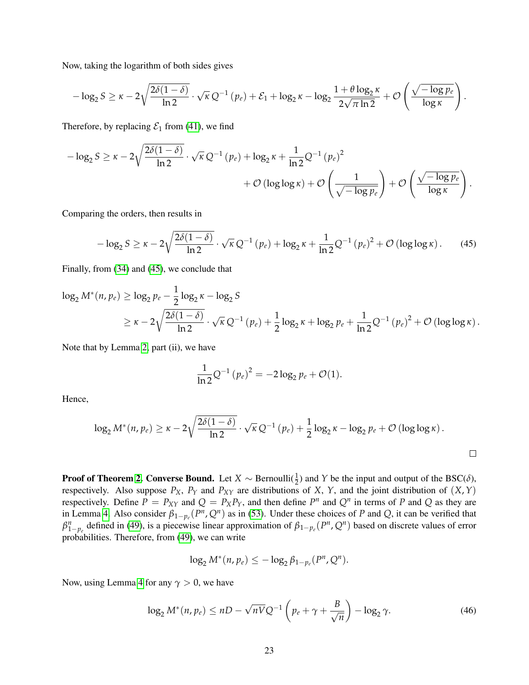Now, taking the logarithm of both sides gives

$$
-\log_2 S \geq \kappa - 2\sqrt{\frac{2\delta(1-\delta)}{\ln 2}}\cdot \sqrt{\kappa}\, Q^{-1}\left(p_e\right) + \mathcal{E}_1 + \log_2 \kappa - \log_2 \frac{1+\theta\log_2 \kappa}{2\sqrt{\pi\ln 2}} + \mathcal{O}\left(\frac{\sqrt{-\log p_e}}{\log \kappa}\right).
$$

Therefore, by replacing  $\mathcal{E}_1$  from [\(41\)](#page-21-5), we find

$$
-\log_2 S \ge \kappa - 2\sqrt{\frac{2\delta(1-\delta)}{\ln 2}} \cdot \sqrt{\kappa} Q^{-1} (p_e) + \log_2 \kappa + \frac{1}{\ln 2} Q^{-1} (p_e)^2 + \mathcal{O} \left( \log \log \kappa \right) + \mathcal{O} \left( \frac{1}{\sqrt{-\log p_e}} \right) + \mathcal{O} \left( \frac{\sqrt{-\log p_e}}{\log \kappa} \right).
$$

Comparing the orders, then results in

$$
-\log_2 S \ge \kappa - 2\sqrt{\frac{2\delta(1-\delta)}{\ln 2}} \cdot \sqrt{\kappa} Q^{-1} (p_e) + \log_2 \kappa + \frac{1}{\ln 2} Q^{-1} (p_e)^2 + \mathcal{O} (\log \log \kappa). \tag{45}
$$

Finally, from [\(34\)](#page-20-4) and [\(45\)](#page-22-0), we conclude that

$$
\log_2 M^*(n, p_e) \ge \log_2 p_e - \frac{1}{2} \log_2 \kappa - \log_2 S
$$
  
 
$$
\ge \kappa - 2 \sqrt{\frac{2\delta(1-\delta)}{\ln 2}} \cdot \sqrt{\kappa} Q^{-1} (p_e) + \frac{1}{2} \log_2 \kappa + \log_2 p_e + \frac{1}{\ln 2} Q^{-1} (p_e)^2 + \mathcal{O} (\log \log \kappa).
$$

Note that by Lemma [2,](#page-26-0) part (ii), we have

<span id="page-22-0"></span>
$$
\frac{1}{\ln 2} Q^{-1} (p_e)^2 = -2 \log_2 p_e + \mathcal{O}(1).
$$

Hence,

$$
\log_2 M^*(n, p_e) \geq \kappa - 2\sqrt{\frac{2\delta(1-\delta)}{\ln 2}} \cdot \sqrt{\kappa} Q^{-1}(p_e) + \frac{1}{2}\log_2 \kappa - \log_2 p_e + \mathcal{O}(\log \log \kappa).
$$

**Proof of Theorem [2.](#page-6-2) Converse Bound.** Let  $X \sim \text{Bernoulli}(\frac{1}{2})$  and  $Y$  be the input and output of the BSC( $\delta$ ), respectively. Also suppose  $P_X$ ,  $P_Y$  and  $P_{XY}$  are distributions of *X*, *Y*, and the joint distribution of  $(X, Y)$ respectively. Define  $P = P_{XY}$  and  $Q = P_X P_Y$ , and then define  $P^n$  and  $Q^n$  in terms of P and Q as they are in Lemma [4.](#page-28-1) Also consider  $\beta_{1-p_e}(P^n, Q^n)$  as in [\(53\)](#page-28-2). Under these choices of *P* and *Q*, it can be verified that *β*<sup>*n*</sup><sub>1−*p*<sup>*e*</sup></sub> defined in [\(49\)](#page-25-2), is a piecewise linear approximation of  $β_{1-p_e}(P^n, Q^n)$  based on discrete values of error probabilities. Therefore, from [\(49\)](#page-25-2), we can write

<span id="page-22-1"></span>
$$
\log_2 M^*(n, p_e) \leq -\log_2 \beta_{1-p_e}(P^n, Q^n).
$$

Now, using Lemma [4](#page-28-1) for any  $\gamma > 0$ , we have

$$
\log_2 M^*(n, p_e) \le nD - \sqrt{nV}Q^{-1}\left(p_e + \gamma + \frac{B}{\sqrt{n}}\right) - \log_2 \gamma. \tag{46}
$$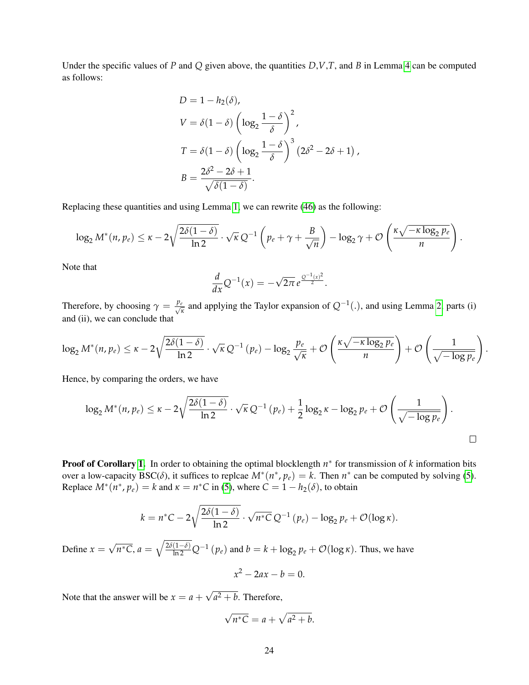Under the specific values of *P* and *Q* given above, the quantities *D*,*V*,*T*, and *B* in Lemma [4](#page-28-1) can be computed as follows:

$$
D = 1 - h_2(\delta),
$$
  
\n
$$
V = \delta(1 - \delta) \left( \log_2 \frac{1 - \delta}{\delta} \right)^2,
$$
  
\n
$$
T = \delta(1 - \delta) \left( \log_2 \frac{1 - \delta}{\delta} \right)^3 (2\delta^2 - 2\delta + 1),
$$
  
\n
$$
B = \frac{2\delta^2 - 2\delta + 1}{\sqrt{\delta(1 - \delta)}}.
$$

Replacing these quantities and using Lemma [1,](#page-25-1) we can rewrite [\(46\)](#page-22-1) as the following:

$$
\log_2 M^*(n, p_e) \leq \kappa - 2\sqrt{\frac{2\delta(1-\delta)}{\ln 2}} \cdot \sqrt{\kappa} Q^{-1} \left( p_e + \gamma + \frac{B}{\sqrt{n}} \right) - \log_2 \gamma + \mathcal{O}\left( \frac{\kappa \sqrt{-\kappa \log_2 p_e}}{n} \right).
$$

Note that

$$
\frac{d}{dx}Q^{-1}(x)=-\sqrt{2\pi}e^{\frac{Q^{-1}(x)^2}{2}}.
$$

Therefore, by choosing  $\gamma = \frac{p_e}{\sqrt{p}}$ *κ* and applying the Taylor expansion of *Q*−<sup>1</sup> (.), and using Lemma [2,](#page-26-0) parts (i) and (ii), we can conclude that

$$
\log_2 M^*(n, p_e) \leq \kappa - 2\sqrt{\frac{2\delta(1-\delta)}{\ln 2}} \cdot \sqrt{\kappa} Q^{-1}(p_e) - \log_2 \frac{p_e}{\sqrt{\kappa}} + \mathcal{O}\left(\frac{\kappa\sqrt{-\kappa \log_2 p_e}}{n}\right) + \mathcal{O}\left(\frac{1}{\sqrt{-\log p_e}}\right).
$$

Hence, by comparing the orders, we have

$$
\log_2 M^*(n, p_e) \leq \kappa - 2\sqrt{\frac{2\delta(1-\delta)}{\ln 2}} \cdot \sqrt{\kappa} Q^{-1}(p_e) + \frac{1}{2}\log_2 \kappa - \log_2 p_e + \mathcal{O}\left(\frac{1}{\sqrt{-\log p_e}}\right).
$$

**Proof of Corollary [1.](#page-6-3)** In order to obtaining the optimal blocklength  $n^*$  for transmission of k information bits over a low-capacity BSC( $\delta$ ), it suffices to replcae  $M^*(n^*, p_e) = k$ . Then  $n^*$  can be computed by solving [\(5\)](#page-6-1). Replace  $M^*(n^*, p_e) = k$  and  $\kappa = n^*C$  in [\(5\)](#page-6-1), where  $C = 1 - h_2(\delta)$ , to obtain

$$
k = n^*C - 2\sqrt{\frac{2\delta(1-\delta)}{\ln 2}} \cdot \sqrt{n^*C} \, Q^{-1} \left(p_e\right) - \log_2 p_e + \mathcal{O}(\log \kappa).
$$

Define  $x =$ √  $\overline{n^*C}$ ,  $a = \sqrt{\frac{2\delta(1-\delta)}{\ln 2}}Q^{-1}(p_e)$  and  $b = k + \log_2 p_e + \mathcal{O}(\log k)$ . Thus, we have

$$
x^2 - 2ax - b = 0.
$$

Note that the answer will be  $x = a +$ √  $a^2 + b$ . Therefore,

$$
\sqrt{n^*C} = a + \sqrt{a^2 + b}.
$$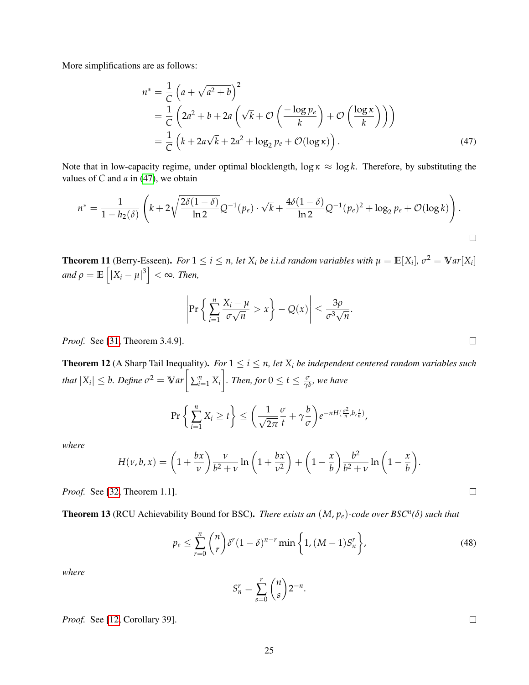More simplifications are as follows:

$$
n^* = \frac{1}{C} \left( a + \sqrt{a^2 + b} \right)^2
$$
  
=  $\frac{1}{C} \left( 2a^2 + b + 2a \left( \sqrt{k} + \mathcal{O} \left( \frac{-\log p_e}{k} \right) + \mathcal{O} \left( \frac{\log \kappa}{k} \right) \right) \right)$   
=  $\frac{1}{C} \left( k + 2a\sqrt{k} + 2a^2 + \log_2 p_e + \mathcal{O}(\log \kappa) \right).$  (47)

Note that in low-capacity regime, under optimal blocklength,  $\log \kappa \approx \log k$ . Therefore, by substituting the values of *C* and *a* in [\(47\)](#page-24-3), we obtain

$$
n^* = \frac{1}{1 - h_2(\delta)} \left( k + 2\sqrt{\frac{2\delta(1-\delta)}{\ln 2}} Q^{-1}(p_e) \cdot \sqrt{k} + \frac{4\delta(1-\delta)}{\ln 2} Q^{-1}(p_e)^2 + \log_2 p_e + \mathcal{O}(\log k) \right).
$$

<span id="page-24-0"></span>**Theorem 11** (Berry-Esseen). For  $1 \le i \le n$ , let  $X_i$  be i.i.d random variables with  $\mu = \mathbb{E}[X_i]$ ,  $\sigma^2 = \mathbb{V}$ ar $[X_i]$  $\int \left|X_i - \mu\right|^3 \right| < \infty$ *. Then,* 

$$
\left|\Pr\left\{\left|\sum_{i=1}^n \frac{X_i - \mu}{\sigma\sqrt{n}} > x\right\} - Q(x)\right| \le \frac{3\rho}{\sigma^3\sqrt{n}}
$$

*Proof.* See [\[31,](#page-36-8) Theorem 3.4.9].

<span id="page-24-2"></span>**Theorem 12** (A Sharp Tail Inequality). *For*  $1 \leq i \leq n$ , let  $X_i$  be independent centered random variables such *that*  $|X_i| \leq b$ *. Define*  $\sigma^2 = \mathbb{V}$ *ar*  $\Big[ \sum_{i=1}^n X_i \Big]$ *a for* 0  $\leq t \leq \frac{\sigma}{\gamma b}$ , we have

$$
\Pr\left\{\sum_{i=1}^n X_i \ge t\right\} \le \left(\frac{1}{\sqrt{2\pi}}\frac{\sigma}{t} + \gamma\frac{b}{\sigma}\right) e^{-nH(\frac{\sigma^2}{n},b,\frac{t}{n})},
$$

*where*

$$
H(\nu, b, x) = \left(1 + \frac{bx}{\nu}\right) \frac{\nu}{b^2 + \nu} \ln\left(1 + \frac{bx}{\nu^2}\right) + \left(1 - \frac{x}{b}\right) \frac{b^2}{b^2 + \nu} \ln\left(1 - \frac{x}{b}\right).
$$

*Proof.* See [\[32,](#page-36-9) Theorem 1.1].

Theorem 13 (RCU Achievability Bound for BSC). *There exists an* (*M*, *pe*)*-code over BSC<sup>n</sup> (δ) such that*

<span id="page-24-1"></span>
$$
p_e \leq \sum_{r=0}^n \binom{n}{r} \delta^r (1-\delta)^{n-r} \min\left\{1, (M-1)S_n^r\right\},\tag{48}
$$

<span id="page-24-3"></span>.

*where*

$$
S_n^r = \sum_{s=0}^r \binom{n}{s} 2^{-n}.
$$

*Proof.* See [\[12,](#page-35-6) Corollary 39].

 $\Box$ 

 $\Box$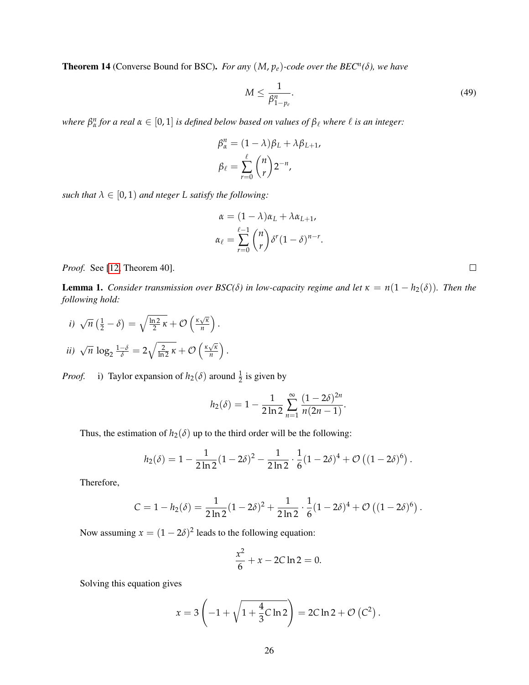<span id="page-25-0"></span>**Theorem 14** (Converse Bound for BSC). *For any*  $(M, p_e)$ -code over the BEC<sup>*n*</sup>( $\delta$ ), we have

<span id="page-25-2"></span>
$$
M \le \frac{1}{\beta_{1-p_e}^n}.\tag{49}
$$

*where*  $\beta_{\alpha}^n$  for a real  $\alpha \in [0,1]$  is defined below based on values of  $\beta_{\ell}$  where  $\ell$  is an integer:

$$
\beta_{\alpha}^{n} = (1 - \lambda)\beta_{L} + \lambda\beta_{L+1},
$$

$$
\beta_{\ell} = \sum_{r=0}^{\ell} {n \choose r} 2^{-n},
$$

*such that*  $\lambda \in [0, 1)$  *and nteger L satisfy the following:* 

$$
\alpha = (1 - \lambda)\alpha_L + \lambda \alpha_{L+1},
$$
  
\n
$$
\alpha_{\ell} = \sum_{r=0}^{\ell-1} {n \choose r} \delta^r (1 - \delta)^{n-r}.
$$

*Proof.* See [\[12,](#page-35-6) Theorem 40].

<span id="page-25-1"></span>**Lemma 1.** *Consider transmission over BSC(* $\delta$ *) in low-capacity regime and let*  $\kappa = n(1 - h_2(\delta))$ *. Then the following hold:*

*i)* 
$$
\sqrt{n} \left(\frac{1}{2} - \delta\right) = \sqrt{\frac{\ln 2}{2} \kappa} + \mathcal{O}\left(\frac{\kappa \sqrt{\kappa}}{n}\right).
$$
  
*ii)*  $\sqrt{n} \log_2 \frac{1-\delta}{\delta} = 2\sqrt{\frac{2}{\ln 2} \kappa} + \mathcal{O}\left(\frac{\kappa \sqrt{\kappa}}{n}\right).$ 

*Proof.* i) Taylor expansion of  $h_2(\delta)$  around  $\frac{1}{2}$  is given by

$$
h_2(\delta) = 1 - \frac{1}{2 \ln 2} \sum_{n=1}^{\infty} \frac{(1 - 2\delta)^{2n}}{n(2n - 1)}.
$$

Thus, the estimation of  $h_2(\delta)$  up to the third order will be the following:

$$
h_2(\delta) = 1 - \frac{1}{2 \ln 2} (1 - 2 \delta)^2 - \frac{1}{2 \ln 2} \cdot \frac{1}{6} (1 - 2 \delta)^4 + \mathcal{O} \left( (1 - 2 \delta)^6 \right).
$$

Therefore,

$$
C = 1 - h_2(\delta) = \frac{1}{2 \ln 2} (1 - 2\delta)^2 + \frac{1}{2 \ln 2} \cdot \frac{1}{6} (1 - 2\delta)^4 + \mathcal{O}((1 - 2\delta)^6).
$$

Now assuming  $x = (1 - 2\delta)^2$  leads to the following equation:

$$
\frac{x^2}{6} + x - 2C \ln 2 = 0.
$$

Solving this equation gives

$$
x = 3\left(-1 + \sqrt{1 + \frac{4}{3}C\ln 2}\right) = 2C\ln 2 + \mathcal{O}\left(C^2\right).
$$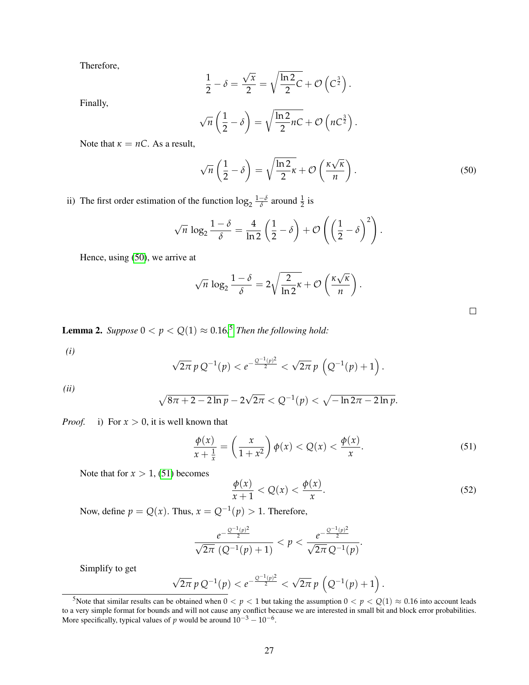Therefore,

$$
\frac{1}{2} - \delta = \frac{\sqrt{x}}{2} = \sqrt{\frac{\ln 2}{2}C} + \mathcal{O}\left(C^{\frac{3}{2}}\right).
$$

Finally,

$$
\sqrt{n}\left(\frac{1}{2}-\delta\right) = \sqrt{\frac{\ln 2}{2}nC} + \mathcal{O}\left(nC^{\frac{3}{2}}\right).
$$

Note that  $\kappa = nC$ . As a result,

<span id="page-26-1"></span>
$$
\sqrt{n}\left(\frac{1}{2}-\delta\right) = \sqrt{\frac{\ln 2}{2}\kappa} + \mathcal{O}\left(\frac{\kappa\sqrt{\kappa}}{n}\right). \tag{50}
$$

.

 $\Box$ 

ii) The first order estimation of the function  $\log_2 \frac{1-\delta}{\delta}$  $\frac{-\delta}{\delta}$  around  $\frac{1}{2}$  is

$$
\sqrt{n} \log_2 \frac{1-\delta}{\delta} = \frac{4}{\ln 2} \left( \frac{1}{2} - \delta \right) + \mathcal{O} \left( \left( \frac{1}{2} - \delta \right)^2 \right).
$$

Hence, using [\(50\)](#page-26-1), we arrive at

$$
\sqrt{n} \log_2 \frac{1-\delta}{\delta} = 2\sqrt{\frac{2}{\ln 2}\kappa} + \mathcal{O}\left(\frac{\kappa\sqrt{\kappa}}{n}\right)
$$

<span id="page-26-0"></span>**Lemma 2.** Suppose  $0 < p < Q(1) \approx 0.16$ .<sup>[5](#page-26-2)</sup> Then the following hold:

*(i)*

$$
\sqrt{2\pi} p Q^{-1}(p) < e^{-\frac{Q^{-1}(p)^2}{2}} < \sqrt{2\pi} p \left(Q^{-1}(p) + 1\right).
$$

*(ii)*

$$
\sqrt{8\pi + 2 - 2\ln p} - 2\sqrt{2\pi} < Q^{-1}(p) < \sqrt{-\ln 2\pi - 2\ln p}.
$$

*Proof.* i) For  $x > 0$ , it is well known that

<span id="page-26-3"></span>
$$
\frac{\phi(x)}{x+\frac{1}{x}} = \left(\frac{x}{1+x^2}\right)\phi(x) < Q(x) < \frac{\phi(x)}{x}.\tag{51}
$$

Note that for  $x > 1$ , [\(51\)](#page-26-3) becomes

<span id="page-26-4"></span>
$$
\frac{\phi(x)}{x+1} < Q(x) < \frac{\phi(x)}{x}.\tag{52}
$$

Now, define  $p = Q(x)$ . Thus,  $x = Q^{-1}(p) > 1$ . Therefore,

$$
\frac{e^{-\frac{Q^{-1}(p)^2}{2}}}{\sqrt{2\pi} (Q^{-1}(p) + 1)} < p < \frac{e^{-\frac{Q^{-1}(p)^2}{2}}}{\sqrt{2\pi} Q^{-1}(p)}.
$$

Simplify to get

$$
\sqrt{2\pi} \, p \, Q^{-1}(p) < e^{-\frac{Q^{-1}(p)^2}{2}} < \sqrt{2\pi} \, p \, \left(Q^{-1}(p) + 1\right).
$$

<span id="page-26-2"></span><sup>5</sup> Note that similar results can be obtained when  $0 < p < 1$  but taking the assumption  $0 < p < Q(1) \approx 0.16$  into account leads to a very simple format for bounds and will not cause any conflict because we are interested in small bit and block error probabilities. More specifically, typical values of *p* would be around  $10^{-3} - 10^{-6}$ .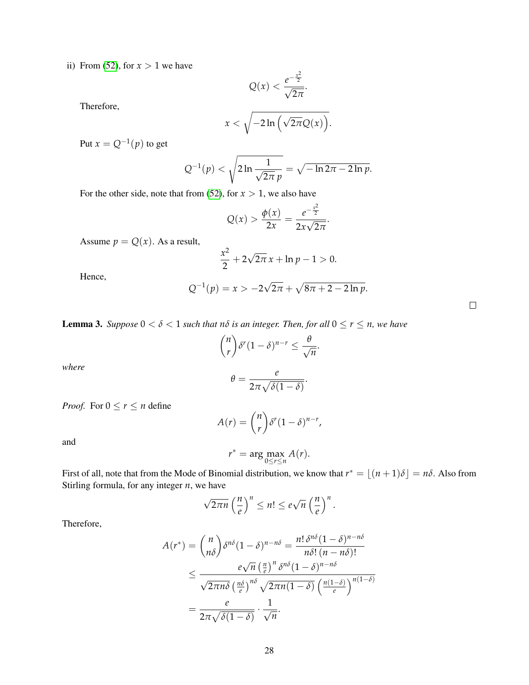ii) From [\(52\)](#page-26-4), for  $x > 1$  we have

$$
Q(x) < \frac{e^{-\frac{x^2}{2}}}{\sqrt{2\pi}}.
$$

Therefore,

$$
x<\sqrt{-2\ln\left(\sqrt{2\pi}Q(x)\right)}.
$$

Put  $x = Q^{-1}(p)$  to get

$$
Q^{-1}(p) < \sqrt{2\ln\frac{1}{\sqrt{2\pi}\,p}} = \sqrt{-\ln 2\pi - 2\ln p}.
$$

For the other side, note that from [\(52\)](#page-26-4), for  $x > 1$ , we also have

$$
Q(x) > \frac{\phi(x)}{2x} = \frac{e^{-\frac{x^2}{2}}}{2x\sqrt{2\pi}}.
$$

Assume  $p = Q(x)$ . As a result,

$$
\frac{x^2}{2} + 2\sqrt{2\pi} x + \ln p - 1 > 0.
$$

Hence,

$$
Q^{-1}(p) = x > -2\sqrt{2\pi} + \sqrt{8\pi + 2 - 2\ln p}.
$$

<span id="page-27-0"></span>**Lemma 3.** *Suppose*  $0 < \delta < 1$  *such that*  $n\delta$  *is an integer. Then, for all*  $0 \le r \le n$ *, we have* 

$$
\binom{n}{r}\delta^r(1-\delta)^{n-r}\leq \frac{\theta}{\sqrt{n}}.
$$

*where*

$$
\theta = \frac{e}{2\pi\sqrt{\delta(1-\delta)}}.
$$

*Proof.* For  $0 \le r \le n$  define

$$
A(r) = {n \choose r} \delta^r (1-\delta)^{n-r},
$$

and

$$
r^* = \arg\max_{0 \le r \le n} A(r).
$$

First of all, note that from the Mode of Binomial distribution, we know that  $r^* = \lfloor (n+1)\delta \rfloor = n\delta$ . Also from Stirling formula, for any integer *n*, we have

$$
\sqrt{2\pi n} \left(\frac{n}{e}\right)^n \leq n! \leq e\sqrt{n} \left(\frac{n}{e}\right)^n.
$$

Therefore,

$$
A(r^*) = {n \choose n\delta} \delta^{n\delta} (1-\delta)^{n-n\delta} = \frac{n! \delta^{n\delta} (1-\delta)^{n-n\delta}}{n\delta! (n-n\delta)!}
$$
  

$$
\leq \frac{e\sqrt{n} (\frac{n}{e})^n \delta^{n\delta} (1-\delta)^{n-n\delta}}{\sqrt{2\pi n\delta} (\frac{n\delta}{e})^{n\delta} \sqrt{2\pi n (1-\delta)} (\frac{n(1-\delta)}{e})^{n(1-\delta)}}
$$
  

$$
= \frac{e}{2\pi \sqrt{\delta(1-\delta)}} \cdot \frac{1}{\sqrt{n}}.
$$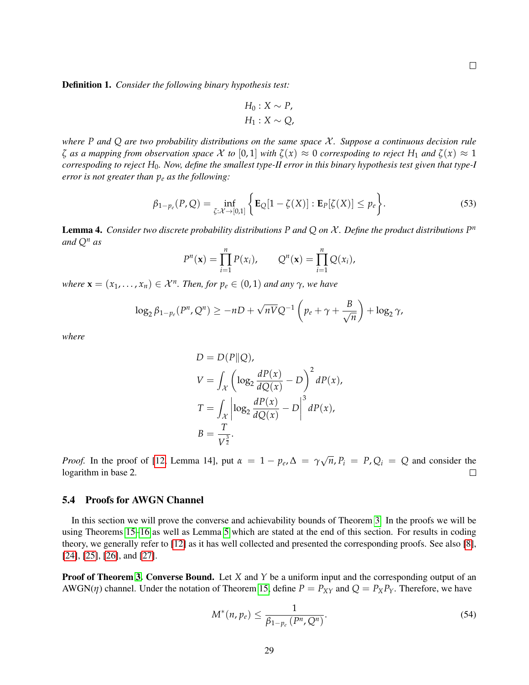Definition 1. *Consider the following binary hypothesis test:*

$$
H_0: X \sim P,
$$
  

$$
H_1: X \sim Q,
$$

*where*  $P$  *and*  $Q$  *are two probability distributions on the same space*  $X$ *. Suppose a continuous decision rule ζ as a mapping from observation space* X *to* [0, 1] *with ζ*(*x*) ≈ 0 *correspoding to reject H*<sup>1</sup> *and ζ*(*x*) ≈ 1 *correspoding to reject H*0*. Now, define the smallest type-II error in this binary hypothesis test given that type-I error is not greater than p<sup>e</sup> as the following:*

<span id="page-28-2"></span>
$$
\beta_{1-p_e}(P,Q) = \inf_{\zeta: \mathcal{X} \to [0,1]} \left\{ \mathbf{E}_Q[1-\zeta(X)] : \mathbf{E}_P[\zeta(X)] \le p_e \right\}.
$$
\n(53)

<span id="page-28-1"></span>Lemma 4. *Consider two discrete probability distributions P and Q on* X *. Define the product distributions P n and Q<sup>n</sup> as*

$$
P^{n}(\mathbf{x}) = \prod_{i=1}^{n} P(x_{i}), \qquad Q^{n}(\mathbf{x}) = \prod_{i=1}^{n} Q(x_{i}),
$$

 $$ 

$$
\log_2 \beta_{1-p_e}(P^n, Q^n) \ge -nD + \sqrt{nV}Q^{-1}\left(p_e + \gamma + \frac{B}{\sqrt{n}}\right) + \log_2 \gamma,
$$

*where*

$$
D = D(P||Q),
$$
  
\n
$$
V = \int_{\mathcal{X}} \left( \log_2 \frac{dP(x)}{dQ(x)} - D \right)^2 dP(x),
$$
  
\n
$$
T = \int_{\mathcal{X}} \left| \log_2 \frac{dP(x)}{dQ(x)} - D \right|^3 dP(x),
$$
  
\n
$$
B = \frac{T}{V^{\frac{3}{2}}}.
$$

√ *Proof.* In the proof of [\[12,](#page-35-6) Lemma 14], put  $\alpha = 1 - p_e$ ,  $\Delta = \gamma$  $\overline{n}$ ,  $P_i = P$ ,  $Q_i = Q$  and consider the logarithm in base 2.  $\Box$ 

#### <span id="page-28-0"></span>5.4 Proofs for AWGN Channel

In this section we will prove the converse and achievability bounds of Theorem [3.](#page-6-4) In the proofs we will be using Theorems [15–](#page-31-0)[16](#page-31-1) as well as Lemma [5](#page-31-2) which are stated at the end of this section. For results in coding theory, we generally refer to [\[12\]](#page-35-6) as it has well collected and presented the corresponding proofs. See also [\[8\]](#page-35-2), [\[24\]](#page-36-1), [\[25\]](#page-36-2), [\[26\]](#page-36-3), and [\[27\]](#page-36-4).

**Proof of Theorem [3.](#page-6-4) Converse Bound.** Let *X* and *Y* be a uniform input and the corresponding output of an AWGN( $\eta$ ) channel. Under the notation of Theorem [15,](#page-31-0) define  $P = P_{XY}$  and  $Q = P_X P_Y$ . Therefore, we have

<span id="page-28-3"></span>
$$
M^*(n, p_e) \le \frac{1}{\beta_{1-p_e}(P^n, Q^n)}.
$$
\n
$$
(54)
$$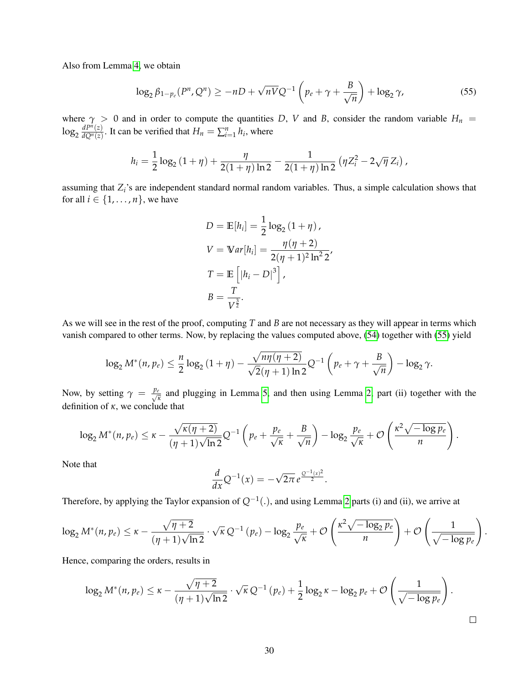Also from Lemma [4,](#page-28-1) we obtain

<span id="page-29-0"></span>
$$
\log_2 \beta_{1-p_e}(P^n, Q^n) \ge -nD + \sqrt{nV}Q^{-1}\left(p_e + \gamma + \frac{B}{\sqrt{n}}\right) + \log_2 \gamma,
$$
\n<sup>(55)</sup>

where  $\gamma > 0$  and in order to compute the quantities *D*, *V* and *B*, consider the random variable  $H_n$  =  $\log_2\frac{dP^n(z)}{dQ^n(z)}$  $\frac{dP^n(z)}{dQ^n(z)}$ . It can be verified that  $H_n = \sum_{i=1}^n h_i$ , where

$$
h_i = \frac{1}{2} \log_2 (1 + \eta) + \frac{\eta}{2(1 + \eta) \ln 2} - \frac{1}{2(1 + \eta) \ln 2} (\eta Z_i^2 - 2\sqrt{\eta} Z_i),
$$

assuming that  $Z_i$ 's are independent standard normal random variables. Thus, a simple calculation shows that for all  $i \in \{1, \ldots, n\}$ , we have

$$
D = \mathbb{E}[h_i] = \frac{1}{2}\log_2(1+\eta),
$$
  
\n
$$
V = \mathbb{V}ar[h_i] = \frac{\eta(\eta+2)}{2(\eta+1)^2\ln^2 2},
$$
  
\n
$$
T = \mathbb{E}\left[|h_i - D|^3\right],
$$
  
\n
$$
B = \frac{T}{V^{\frac{3}{2}}}.
$$

As we will see in the rest of the proof, computing *T* and *B* are not necessary as they will appear in terms which vanish compared to other terms. Now, by replacing the values computed above, [\(54\)](#page-28-3) together with [\(55\)](#page-29-0) yield

$$
\log_2 M^*(n, p_e) \leq \frac{n}{2} \log_2 \left(1 + \eta\right) - \frac{\sqrt{n\eta(\eta+2)}}{\sqrt{2}(\eta+1)\ln 2} Q^{-1}\left(p_e + \gamma + \frac{B}{\sqrt{n}}\right) - \log_2 \gamma.
$$

Now, by setting  $\gamma = \frac{p_e}{\sqrt{p}}$  $\frac{p}{\pi}$  and plugging in Lemma [5,](#page-31-2) and then using Lemma [2,](#page-26-0) part (ii) together with the definition of *κ*, we conclude that

$$
\log_2 M^*(n, p_e) \leq \kappa - \frac{\sqrt{\kappa(\eta+2)}}{(\eta+1)\sqrt{\ln 2}} Q^{-1} \left( p_e + \frac{p_e}{\sqrt{\kappa}} + \frac{B}{\sqrt{n}} \right) - \log_2 \frac{p_e}{\sqrt{\kappa}} + \mathcal{O}\left( \frac{\kappa^2 \sqrt{-\log p_e}}{n} \right).
$$

Note that

$$
\frac{d}{dx}Q^{-1}(x)=-\sqrt{2\pi}e^{\frac{Q^{-1}(x)^2}{2}}.
$$

Therefore, by applying the Taylor expansion of *Q*−<sup>1</sup> (.), and using Lemma [2](#page-26-0) parts (i) and (ii), we arrive at

$$
\log_2 M^*(n, p_e) \leq \kappa - \frac{\sqrt{\eta+2}}{(\eta+1)\sqrt{\ln 2}} \cdot \sqrt{\kappa} Q^{-1}(p_e) - \log_2 \frac{p_e}{\sqrt{\kappa}} + \mathcal{O}\left(\frac{\kappa^2 \sqrt{-\log_2 p_e}}{n}\right) + \mathcal{O}\left(\frac{1}{\sqrt{-\log p_e}}\right).
$$

Hence, comparing the orders, results in

$$
\log_2 M^*(n, p_e) \leq \kappa - \frac{\sqrt{\eta+2}}{(\eta+1)\sqrt{\ln 2}} \cdot \sqrt{\kappa} Q^{-1}(p_e) + \frac{1}{2} \log_2 \kappa - \log_2 p_e + \mathcal{O}\left(\frac{1}{\sqrt{-\log p_e}}\right).
$$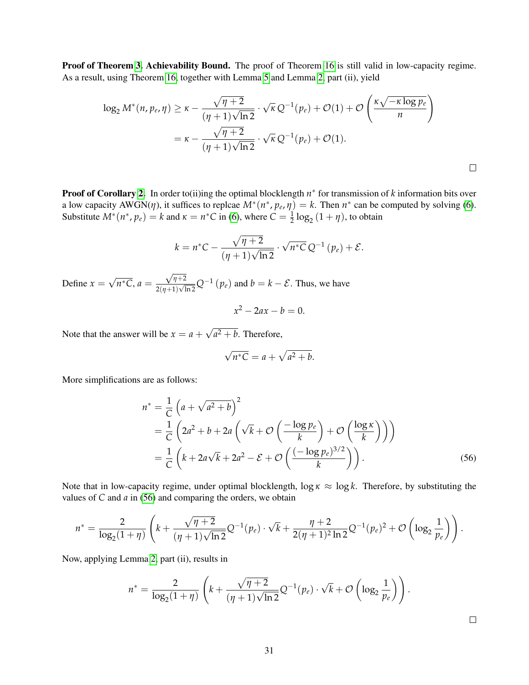Proof of Theorem [3.](#page-6-4) Achievability Bound. The proof of Theorem [16](#page-31-1) is still valid in low-capacity regime. As a result, using Theorem [16,](#page-31-1) together with Lemma [5](#page-31-2) and Lemma [2,](#page-26-0) part (ii), yield

$$
\log_2 M^*(n, p_e, \eta) \ge \kappa - \frac{\sqrt{\eta + 2}}{(\eta + 1)\sqrt{\ln 2}} \cdot \sqrt{\kappa} Q^{-1}(p_e) + \mathcal{O}(1) + \mathcal{O}\left(\frac{\kappa \sqrt{-\kappa \log p_e}}{n}\right)
$$
  
=  $\kappa - \frac{\sqrt{\eta + 2}}{(\eta + 1)\sqrt{\ln 2}} \cdot \sqrt{\kappa} Q^{-1}(p_e) + \mathcal{O}(1).$ 

**Proof of Corollary [2.](#page-6-5)** In order to(ii)ing the optimal blocklength  $n^*$  for transmission of k information bits over a low capacity  $AWGN(\eta)$ , it suffices to replcae  $M^*(n^*, p_e, \eta) = k$ . Then  $n^*$  can be computed by solving [\(6\)](#page-6-6). Substitute  $M^*(n^*, p_e) = k$  and  $\kappa = n^*C$  in [\(6\)](#page-6-6), where  $C = \frac{1}{2} \log_2{(1 + \eta)}$ , to obtain

$$
k = n^*C - \frac{\sqrt{\eta + 2}}{(\eta + 1)\sqrt{\ln 2}} \cdot \sqrt{n^*C} \, Q^{-1} \left( p_e \right) + \mathcal{E}.
$$

Define  $x =$ √  $\overline{n^*C}$ ,  $a =$  $\sqrt{\eta+2}$  $\frac{\sqrt{\eta+2}}{2(\eta+1)\sqrt{\ln 2}}Q^{-1}(p_e)$  and  $b=k-\mathcal{E}$ . Thus, we have

$$
x^2 - 2ax - b = 0.
$$

Note that the answer will be  $x = a +$ √  $a^2 + b$ . Therefore,

$$
\sqrt{n^*C} = a + \sqrt{a^2 + b}.
$$

More simplifications are as follows:

$$
n^* = \frac{1}{C} \left( a + \sqrt{a^2 + b} \right)^2
$$
  
=  $\frac{1}{C} \left( 2a^2 + b + 2a \left( \sqrt{k} + \mathcal{O} \left( \frac{-\log p_e}{k} \right) + \mathcal{O} \left( \frac{\log \kappa}{k} \right) \right) \right)$   
=  $\frac{1}{C} \left( k + 2a\sqrt{k} + 2a^2 - \mathcal{E} + \mathcal{O} \left( \frac{(-\log p_e)^{3/2}}{k} \right) \right).$  (56)

Note that in low-capacity regime, under optimal blocklength,  $\log \kappa \approx \log k$ . Therefore, by substituting the values of *C* and *a* in [\(56\)](#page-30-0) and comparing the orders, we obtain

$$
n^* = \frac{2}{\log_2(1+\eta)} \left( k + \frac{\sqrt{\eta+2}}{(\eta+1)\sqrt{\ln 2}} Q^{-1}(p_e) \cdot \sqrt{k} + \frac{\eta+2}{2(\eta+1)^2 \ln 2} Q^{-1}(p_e)^2 + \mathcal{O}\left(\log_2 \frac{1}{p_e}\right) \right).
$$

Now, applying Lemma [2,](#page-26-0) part (ii), results in

$$
n^* = \frac{2}{\log_2(1+\eta)} \left( k + \frac{\sqrt{\eta+2}}{(\eta+1)\sqrt{\ln 2}} Q^{-1}(p_e) \cdot \sqrt{k} + \mathcal{O}\left(\log_2 \frac{1}{p_e}\right) \right).
$$

<span id="page-30-0"></span> $\Box$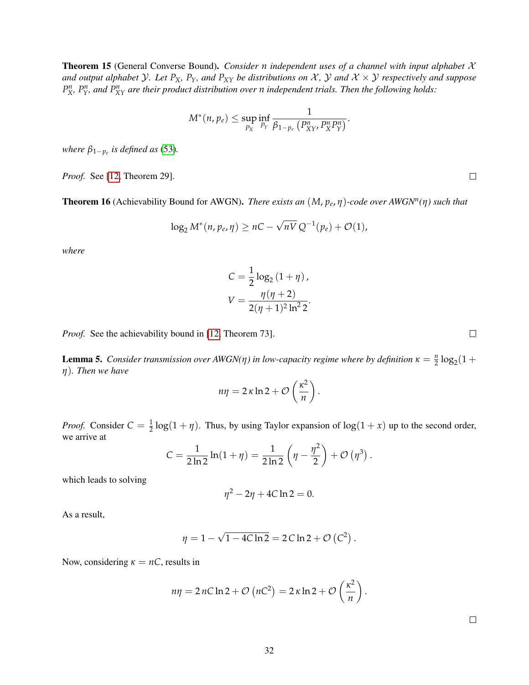<span id="page-31-0"></span>Theorem 15 (General Converse Bound). *Consider n independent uses of a channel with input alphabet* X *and output alphabet*  $Y$ *. Let*  $P_X$ *,*  $P_Y$ *, and*  $P_{XY}$  *be distributions on*  $X$ *,*  $Y$  *and*  $X \times Y$  *respectively and suppose*  $P_X^n$ ,  $P_Y^n$ , and  $P_{XY}^n$  are their product distribution over *n* independent trials. Then the following holds:

$$
M^*(n,p_e) \leq \sup_{P_X} \inf_{P_Y} \frac{1}{\beta_{1-p_e}\left(P_{XY}^n,P_X^nP_Y^n\right)}.
$$

*where*  $\beta_{1-p_e}$  *is defined as* [\(53\)](#page-28-2).

*Proof.* See [\[12,](#page-35-6) Theorem 29].

<span id="page-31-1"></span>Theorem 16 (Achievability Bound for AWGN). *There exists an* (*M*, *p<sup>e</sup>* , *η*)*-code over AWGN<sup>n</sup> (η) such that*

$$
\log_2 M^*(n, p_e, \eta) \ge nC - \sqrt{nV} Q^{-1}(p_e) + \mathcal{O}(1),
$$

*where*

$$
C = \frac{1}{2} \log_2 (1 + \eta),
$$
  

$$
V = \frac{\eta(\eta + 2)}{2(\eta + 1)^2 \ln^2 2}.
$$

*Proof.* See the achievability bound in [\[12,](#page-35-6) Theorem 73].

<span id="page-31-2"></span>**Lemma 5.** *Consider transmission over AWGN(* $\eta$ *) in low-capacity regime where by definition*  $\kappa = \frac{n}{2} \log_2(1 +$ *η*)*. Then we have*

$$
n\eta = 2\,\kappa\ln 2 + \mathcal{O}\left(\frac{\kappa^2}{n}\right).
$$

*Proof.* Consider  $C = \frac{1}{2} \log(1 + \eta)$ . Thus, by using Taylor expansion of  $\log(1 + x)$  up to the second order, we arrive at

$$
C = \frac{1}{2 \ln 2} \ln(1 + \eta) = \frac{1}{2 \ln 2} \left( \eta - \frac{\eta^2}{2} \right) + \mathcal{O} \left( \eta^3 \right).
$$

which leads to solving

$$
\eta^2-2\eta+4C\ln 2=0.
$$

As a result,

$$
\eta = 1 - \sqrt{1 - 4C \ln 2} = 2 C \ln 2 + \mathcal{O} (C^2).
$$

Now, considering  $\kappa = nC$ , results in

$$
n\eta = 2 nC \ln 2 + \mathcal{O}\left(nC^2\right) = 2 \kappa \ln 2 + \mathcal{O}\left(\frac{\kappa^2}{n}\right).
$$

 $\Box$ 

 $\Box$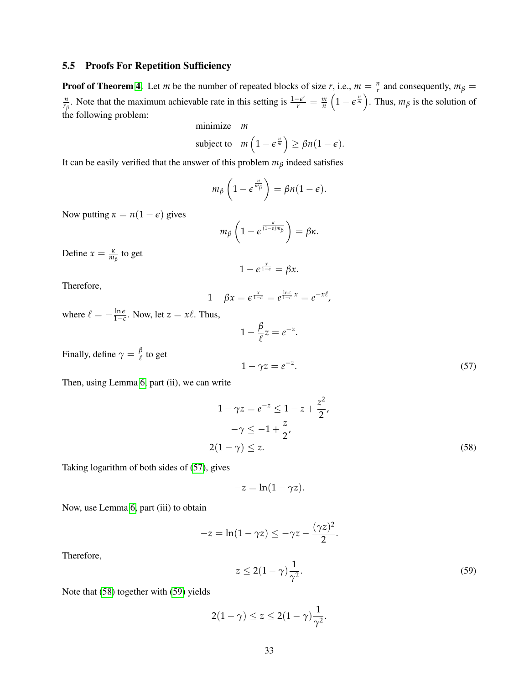## <span id="page-32-0"></span>5.5 Proofs For Repetition Sufficiency

**Proof of Theorem [4.](#page-8-2)** Let *m* be the number of repeated blocks of size *r*, i.e.,  $m = \frac{n}{r}$  and consequently,  $m_\beta =$ *n n*<sub>*f*</sub></sup>. Note that the maximum achievable rate in this setting is  $\frac{1-\epsilon^r}{r} = \frac{m}{n} \left(1 - \epsilon^{\frac{n}{m}}\right)$ . Thus,  $m_\beta$  is the solution of the following problem:

minimize *m*

subject to 
$$
m\left(1 - \epsilon^{\frac{n}{m}}\right) \ge \beta n(1 - \epsilon).
$$

It can be easily verified that the answer of this problem  $m<sub>\beta</sub>$  indeed satisfies

$$
m_{\beta}\left(1-\epsilon^{\frac{n}{m_{\beta}}}\right)=\beta n(1-\epsilon).
$$

Now putting  $\kappa = n(1 - \epsilon)$  gives

$$
m_{\beta}\left(1-\epsilon^{\frac{\kappa}{(1-\epsilon)m_{\beta}}}\right)=\beta\kappa.
$$

Define  $x = \frac{\kappa}{m_\beta}$  to get

$$
1-\epsilon^{\frac{x}{1-\epsilon}}=\beta x.
$$

Therefore,

$$
1 - \beta x = \varepsilon^{\frac{x}{1-\varepsilon}} = e^{\frac{\ln \varepsilon}{1-\varepsilon}x} = e^{-x\ell},
$$

where  $\ell = -\frac{\ln \epsilon}{1-\epsilon}$ . Now, let  $z = x\ell$ . Thus,

$$
1 - \frac{\beta}{\ell} z = e^{-z}
$$

<span id="page-32-2"></span>.

Finally, define  $\gamma = \frac{\beta}{\ell}$  to get

<span id="page-32-1"></span> $1 - \gamma z = e^{-z}$ .  $(57)$ 

Then, using Lemma [6,](#page-33-0) part (ii), we can write

$$
1 - \gamma z = e^{-z} \le 1 - z + \frac{z^2}{2},
$$
  

$$
-\gamma \le -1 + \frac{z}{2},
$$
  

$$
2(1 - \gamma) \le z.
$$
 (58)

Taking logarithm of both sides of [\(57\)](#page-32-1), gives

$$
-z=\ln(1-\gamma z).
$$

Now, use Lemma [6,](#page-33-0) part (iii) to obtain

$$
-z = \ln(1 - \gamma z) \leq -\gamma z - \frac{(\gamma z)^2}{2}.
$$

Therefore,

<span id="page-32-3"></span>
$$
z \le 2(1-\gamma)\frac{1}{\gamma^2}.\tag{59}
$$

Note that [\(58\)](#page-32-2) together with [\(59\)](#page-32-3) yields

$$
2(1-\gamma) \leq z \leq 2(1-\gamma)\frac{1}{\gamma^2}.
$$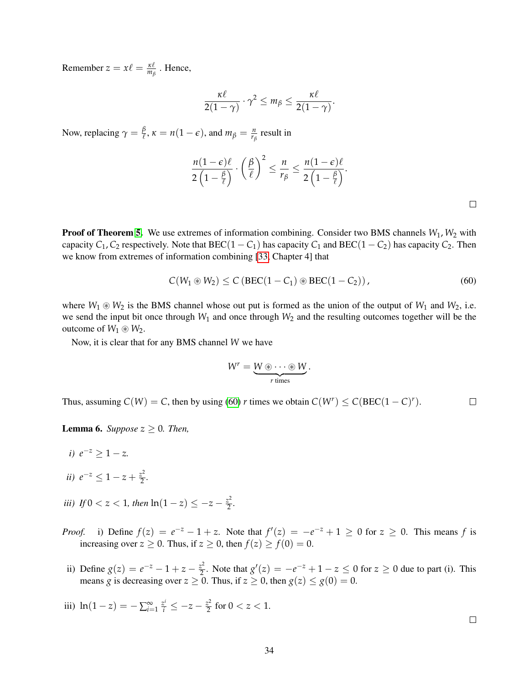Remember  $z = x\ell = \frac{\kappa\ell}{m_\beta}$ . Hence,

$$
\frac{\kappa\ell}{2(1-\gamma)}\cdot\gamma^2\leq m_\beta\leq\frac{\kappa\ell}{2(1-\gamma)}.
$$

Now, replacing  $\gamma = \frac{\beta}{\ell}, \kappa = n(1 - \epsilon)$ , and  $m_\beta = \frac{n}{r_\beta}$  result in

$$
\frac{n(1-\epsilon)\ell}{2\left(1-\frac{\beta}{\ell}\right)}\cdot\left(\frac{\beta}{\ell}\right)^2\leq\frac{n}{r_\beta}\leq\frac{n(1-\epsilon)\ell}{2\left(1-\frac{\beta}{\ell}\right)}.
$$

 $\Box$ 

**Proof of Theorem [5.](#page-8-5)** We use extremes of information combining. Consider two BMS channels  $W_1$ ,  $W_2$  with capacity  $C_1$ ,  $C_2$  respectively. Note that BEC(1 –  $C_1$ ) has capacity  $C_1$  and BEC(1 –  $C_2$ ) has capacity  $C_2$ . Then we know from extremes of information combining [\[33,](#page-36-10) Chapter 4] that

<span id="page-33-1"></span>
$$
C(W_1 \circledast W_2) \leq C \left( \text{BEC}(1 - C_1) \circledast \text{BEC}(1 - C_2) \right), \tag{60}
$$

where  $W_1 \otimes W_2$  is the BMS channel whose out put is formed as the union of the output of  $W_1$  and  $W_2$ , i.e. we send the input bit once through *W*<sup>1</sup> and once through *W*<sup>2</sup> and the resulting outcomes together will be the outcome of  $W_1 \otimes W_2$ .

Now, it is clear that for any BMS channel *W* we have

$$
W^r = \underbrace{W \circledast \cdots \circledast W}_{r \text{ times}}.
$$

Thus, assuming  $C(W) = C$ , then by using [\(60\)](#page-33-1) *r* times we obtain  $C(W^r) \leq C( BEC(1 - C)^r)$ .  $\Box$ 

<span id="page-33-0"></span>**Lemma 6.** *Suppose*  $z \geq 0$ *. Then,* 

- *i*)  $e^{-z} \geq 1 z$ *.*
- *ii*)  $e^{-z} \leq 1 z + \frac{z^2}{2}$  $\frac{z^2}{2}$ .
- *iii*) *If*  $0 < z < 1$ *, then*  $ln(1-z) \le -z \frac{z^2}{2}$  $\frac{z^2}{2}$ .
- *Proof.* i) Define  $f(z) = e^{-z} 1 + z$ . Note that  $f'(z) = -e^{-z} + 1 \ge 0$  for  $z \ge 0$ . This means f is increasing over  $z \ge 0$ . Thus, if  $z \ge 0$ , then  $f(z) \ge f(0) = 0$ .
- ii) Define  $g(z) = e^{-z} 1 + z \frac{z^2}{2}$  $2^2$ . Note that  $g'(z) = -e^{-z} + 1 - z \le 0$  for  $z \ge 0$  due to part (i). This means *g* is decreasing over  $z \ge 0$ . Thus, if  $z \ge 0$ , then  $g(z) \le g(0) = 0$ .
- iii)  $ln(1-z) = -\sum_{i=1}^{\infty} \frac{z^i}{i} \le -z \frac{z^2}{2}$  $\frac{z^2}{2}$  for  $0 < z < 1$ .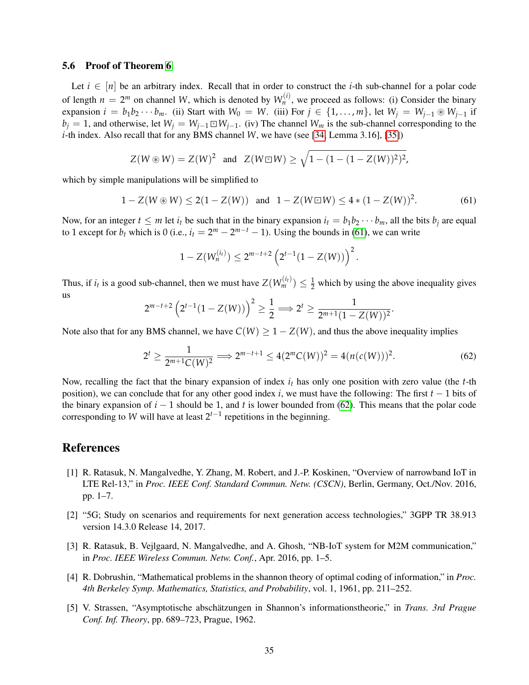#### 5.6 Proof of Theorem [6](#page-10-3)

Let  $i \in [n]$  be an arbitrary index. Recall that in order to construct the *i*-th sub-channel for a polar code of length  $n = 2^m$  on channel *W*, which is denoted by  $W_n^{(i)}$ , we proceed as follows: (i) Consider the binary expansion  $i = b_1b_2 \cdots b_m$ . (ii) Start with  $W_0 = W$ . (iii) For  $j \in \{1, \ldots, m\}$ , let  $W_j = W_{j-1} \otimes W_{j-1}$  if *b*<sup>*j*</sup> = 1, and otherwise, let  $W_j = W_{j-1} \square W_{j-1}$ . (iv) The channel  $W_m$  is the sub-channel corresponding to the *i*-th index. Also recall that for any BMS channel *W*, we have (see [\[34,](#page-36-11) Lemma 3.16], [\[35\]](#page-36-12))

$$
Z(W \circledast W) = Z(W)^2
$$
 and  $Z(W \sqsubseteq W) \ge \sqrt{1 - (1 - (1 - Z(W))^2)^2}$ ,

which by simple manipulations will be simplified to

<span id="page-34-5"></span>
$$
1 - Z(W \circledast W) \le 2(1 - Z(W)) \quad \text{and} \quad 1 - Z(W \circledast W) \le 4 * (1 - Z(W))^2. \tag{61}
$$

Now, for an integer  $t \leq m$  let  $i_t$  be such that in the binary expansion  $i_t = b_1 b_2 \cdots b_m$ , all the bits  $b_i$  are equal to 1 except for  $b_t$  which is 0 (i.e.,  $i_t = 2^m - 2^{m-t} - 1$ ). Using the bounds in [\(61\)](#page-34-5), we can write

$$
1 - Z(W_n^{(i_t)}) \le 2^{m-t+2} \left( 2^{t-1} (1 - Z(W)) \right)^2.
$$

Thus, if  $i_t$  is a good sub-channel, then we must have  $Z(W_m^{(i_t)}) \leq \frac{1}{2}$  which by using the above inequality gives us

$$
2^{m-t+2} \left(2^{t-1}(1-Z(W))\right)^2 \geq \frac{1}{2} \Longrightarrow 2^t \geq \frac{1}{2^{m+1}(1-Z(W))^2}.
$$

Note also that for any BMS channel, we have  $C(W) \ge 1 - Z(W)$ , and thus the above inequality implies

<span id="page-34-6"></span>
$$
2^{t} \ge \frac{1}{2^{m+1}C(W)^{2}} \Longrightarrow 2^{m-t+1} \le 4(2^{m}C(W))^{2} = 4(n(c(W)))^{2}.
$$
 (62)

Now, recalling the fact that the binary expansion of index *i<sup>t</sup>* has only one position with zero value (the *t*-th position), we can conclude that for any other good index *i*, we must have the following: The first *t* − 1 bits of the binary expansion of  $i - 1$  should be 1, and t is lower bounded from [\(62\)](#page-34-6). This means that the polar code corresponding to *W* will have at least  $2^{t-1}$  repetitions in the beginning.

# References

- <span id="page-34-0"></span>[1] R. Ratasuk, N. Mangalvedhe, Y. Zhang, M. Robert, and J.-P. Koskinen, "Overview of narrowband IoT in LTE Rel-13," in *Proc. IEEE Conf. Standard Commun. Netw. (CSCN)*, Berlin, Germany, Oct./Nov. 2016, pp. 1–7.
- <span id="page-34-1"></span>[2] "5G; Study on scenarios and requirements for next generation access technologies," 3GPP TR 38.913 version 14.3.0 Release 14, 2017.
- <span id="page-34-2"></span>[3] R. Ratasuk, B. Vejlgaard, N. Mangalvedhe, and A. Ghosh, "NB-IoT system for M2M communication," in *Proc. IEEE Wireless Commun. Netw. Conf.*, Apr. 2016, pp. 1–5.
- <span id="page-34-3"></span>[4] R. Dobrushin, "Mathematical problems in the shannon theory of optimal coding of information," in *Proc. 4th Berkeley Symp. Mathematics, Statistics, and Probability*, vol. 1, 1961, pp. 211–252.
- <span id="page-34-4"></span>[5] V. Strassen, "Asymptotische abschätzungen in Shannon's informationstheorie," in *Trans. 3rd Prague Conf. Inf. Theory*, pp. 689–723, Prague, 1962.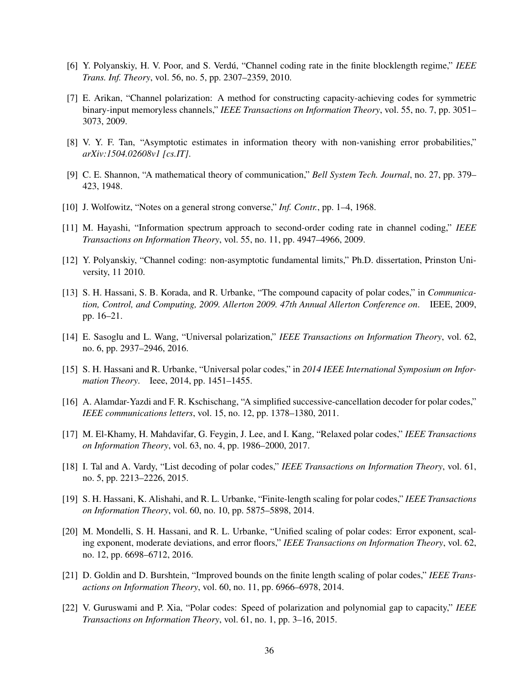- <span id="page-35-0"></span>[6] Y. Polyanskiy, H. V. Poor, and S. Verdu, "Channel coding rate in the finite blocklength regime," ´ *IEEE Trans. Inf. Theory*, vol. 56, no. 5, pp. 2307–2359, 2010.
- <span id="page-35-1"></span>[7] E. Arikan, "Channel polarization: A method for constructing capacity-achieving codes for symmetric binary-input memoryless channels," *IEEE Transactions on Information Theory*, vol. 55, no. 7, pp. 3051– 3073, 2009.
- <span id="page-35-2"></span>[8] V. Y. F. Tan, "Asymptotic estimates in information theory with non-vanishing error probabilities," *arXiv:1504.02608v1 [cs.IT]*.
- <span id="page-35-3"></span>[9] C. E. Shannon, "A mathematical theory of communication," *Bell System Tech. Journal*, no. 27, pp. 379– 423, 1948.
- <span id="page-35-4"></span>[10] J. Wolfowitz, "Notes on a general strong converse," *Inf. Contr.*, pp. 1–4, 1968.
- <span id="page-35-5"></span>[11] M. Hayashi, "Information spectrum approach to second-order coding rate in channel coding," *IEEE Transactions on Information Theory*, vol. 55, no. 11, pp. 4947–4966, 2009.
- <span id="page-35-6"></span>[12] Y. Polyanskiy, "Channel coding: non-asymptotic fundamental limits," Ph.D. dissertation, Prinston University, 11 2010.
- <span id="page-35-9"></span>[13] S. H. Hassani, S. B. Korada, and R. Urbanke, "The compound capacity of polar codes," in *Communication, Control, and Computing, 2009. Allerton 2009. 47th Annual Allerton Conference on*. IEEE, 2009, pp. 16–21.
- <span id="page-35-10"></span>[14] E. Sasoglu and L. Wang, "Universal polarization," *IEEE Transactions on Information Theory*, vol. 62, no. 6, pp. 2937–2946, 2016.
- <span id="page-35-11"></span>[15] S. H. Hassani and R. Urbanke, "Universal polar codes," in *2014 IEEE International Symposium on Information Theory*. Ieee, 2014, pp. 1451–1455.
- <span id="page-35-7"></span>[16] A. Alamdar-Yazdi and F. R. Kschischang, "A simplified successive-cancellation decoder for polar codes," *IEEE communications letters*, vol. 15, no. 12, pp. 1378–1380, 2011.
- <span id="page-35-8"></span>[17] M. El-Khamy, H. Mahdavifar, G. Feygin, J. Lee, and I. Kang, "Relaxed polar codes," *IEEE Transactions on Information Theory*, vol. 63, no. 4, pp. 1986–2000, 2017.
- <span id="page-35-12"></span>[18] I. Tal and A. Vardy, "List decoding of polar codes," *IEEE Transactions on Information Theory*, vol. 61, no. 5, pp. 2213–2226, 2015.
- <span id="page-35-13"></span>[19] S. H. Hassani, K. Alishahi, and R. L. Urbanke, "Finite-length scaling for polar codes," *IEEE Transactions on Information Theory*, vol. 60, no. 10, pp. 5875–5898, 2014.
- [20] M. Mondelli, S. H. Hassani, and R. L. Urbanke, "Unified scaling of polar codes: Error exponent, scaling exponent, moderate deviations, and error floors," *IEEE Transactions on Information Theory*, vol. 62, no. 12, pp. 6698–6712, 2016.
- [21] D. Goldin and D. Burshtein, "Improved bounds on the finite length scaling of polar codes," *IEEE Transactions on Information Theory*, vol. 60, no. 11, pp. 6966–6978, 2014.
- [22] V. Guruswami and P. Xia, "Polar codes: Speed of polarization and polynomial gap to capacity," *IEEE Transactions on Information Theory*, vol. 61, no. 1, pp. 3–16, 2015.